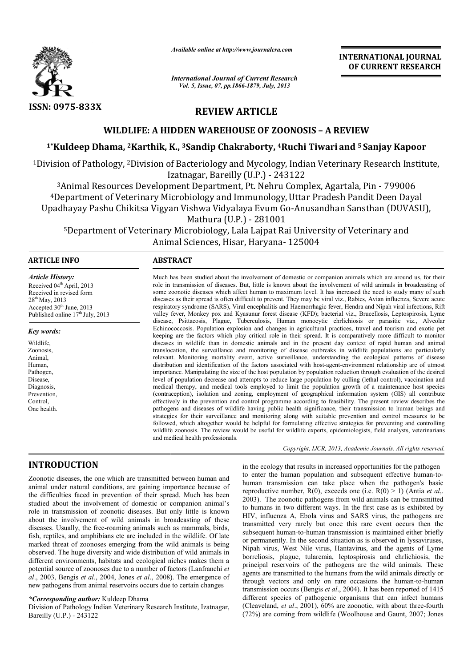

*Available online at http://www.journalcra.com*

*International Journal of Current Research Vol. 5, Issue, 07, pp.1866-1879, July, 2013*

# REVIEW ARTICLE

## WILDLIFE: A HIDDEN WAREHOUSE OF ZOONOSIS – A REVIEW

# <sup>1</sup>\*Kuldeep Dhama, <sup>2</sup>Karthik, K., <sup>3</sup>Sandip Chakraborty, <sup>4</sup>Ruchi Tiwari and <sup>5</sup> Sanjay Kapoor

<sup>1</sup>Division of Pathology, <sup>2</sup>Division of Bacteriology and Mycology, Indian Veterinary Research Institute,<br>Izatnagar, Bareilly (U.P.) - 243122<br><sup>3</sup>Animal Resources Development Department, Pt. Nehru Complex, Agartala, Pin - 7 Izatnagar, Bareilly (U.P.)

3Animal Resources Development Department, Pt. Nehru Complex, Agartala, Pin <sup>4</sup>Department of Veterinary Microbiology and Immunology, Uttar Pradesh Pandit Deen Dayal Upadhayay Pashu Chikitsa Vigyan Vishwa Vidyalaya Evum Go-Anusandhan Sansthan (DUVASU), Ittar Pradesh Pandit Deen Da<br>Anusandhan Sansthan (DUV*l*<br>University of Veterinary and

Mathura (U.P.) - 281001

 $5$ Department of Veterinary Microbiology, Lala Lajpat Rai University of Veterinary and Animal Sciences, Hisar, Haryana- 125004 Animal Sciences, Hisar, Haryana

## ARTICLE INFO ABSTRACT

*Article History:* Received 04<sup>th</sup> April, 2013 Received in revised form 28<sup>th</sup> May, 2013 Accepted 30<sup>th</sup> June, 2013 Published online  $17<sup>th</sup>$  July, 2013

#### *Key words:*

Wildlife, Zoonosis, Animal, Human, Pathogen, Disease, Diagnosis, Prevention, Control, One health.

role in transmission of diseases. But, little is known about the involvement of wild animals in broadcasting of some zoonotic diseases which affect human to maximum level. It has increased the need to study many of such diseases as their spread is often difficult to prevent. They may be viral viz., Rabies, Avian influenza, Severe acute respiratory syndrome (SARS), Viral encephalitis and Haemorrhagic f fever, Hendra and Nipah viral infections, Rift valley fever, Monkey pox and Kyasunur forest disease (KFD); bacterial viz., Brucellosis, Leptospirosis, Lyme disease, Psittacosis, Plague, Tuberculosis, Human monocytic ehrlichiosis or parasitic viz., Alveolar Echinococcosis. Population explosion and changes in agricultural practices, travel and tourism and exotic pet keeping are the factors which play critical role in their spread. It is comparatively more difficult to monitor diseases in wildlife than in domestic animals and in the present day context of rapid human and animal translocation, the surveillance and monitoring of disease outbreaks in wildlife populations are particularly relevant. Monitoring mortality event, active surveillance, understanding the ecological patterns of disease distribution and identification of the factors associated with host-agent-environment relationship are of utmost importance. Manipulating the size of the host population by population reduction through evaluation of the desired level of population decrease and attempts to reduce large population by culling (lethal control), vaccination and medical therapy, and medical tools employed to limit the population growth of a maintenance host species (contraception), isolation and zoning, employment of geographical information system (GIS) all contribute effectively in the prevention and control programme according to feasibility. The present review describes the pathogens and diseases of wildlife having public health significance, thei strategies for their surveillance and monitoring along with suitable prevention and control measures to be followed, which altogether would be helpful for formulating effective strategies for preventing and controlling wildlife zoonosis. The review would be useful for wildlife experts, epidemiologists, field analysts, veterinarians and medical health professionals. Much has been studied about the involvement of domestic or companion animals which are around us, for their<br>role in transmission of diseases. But, little is known about the involvement of wild animals in broadcasting of<br>so level of population decrease and attempts to reduce large population by culling (lethal control), vaccination and<br>medical therapy, and medical tools employed to limit the population growth of a maintenance host species<br>(co strategies for their surveillance and monitoring along with suitable prevention and control measures to be followed, which altogether would be helpful for formulating effective strategies for preventing and controlling wil

Much has been studied about the involvement of domestic or companion animals which are around us, for their

Copyright, IJCR, 2013, Academic Journals. All rights reserved.

# INTRODUCTION

Zoonotic diseases, the one which are transmitted between human and animal under natural conditions, are gaining importance because of the difficulties faced in prevention of their spread. Much has been studied about the involvement of domestic or companion animal's role in transmission of zoonotic diseases. But only little is known about the involvement of wild animals in broadcasting of these diseases. Usually, the free-roaming animals such as mammals, birds, fish, reptiles, and amphibians etc are included in the wildlife. Of late marked threat of zoonoses emerging from the wild animals is being observed. The huge diversity and wide distribution of wild animals in different environments, habitats and ecological niches makes them a potential source of zoonoses due to a number of factors (Lanfranchi *al*., 2003, Bengis *et al*., 2004, Jones *et al*., 2008). The emergence of new pathogens from animal reservoirs occurs due to certain changes Froaming animals such as mammals, birds,<br>ans etc are included in the wildlife. Of late<br>s emerging from the wild animals is being<br>ity and wide distribution of wild animals in<br>bitats and ecological niches makes them a<br>es due

## *\*Corresponding author:* Kuldeep Dhama

Division of Pathology Indian Veterinary Research Institute, Izatnagar, Bareilly (U.P.) - 243122

in the ecology that results in increased opportunities for the pathogen to enter the human population and subsequent effective human-tohuman transmission can take place when the pathogen's basic reproductive number,  $R(0)$ , exceeds one (i.e.  $R(0) > 1$ ) (Antia *et al*,. 2003). The zoonotic pathogens from wild animals can be transmitted to humans in two different ways. In the first case as is exhibited by 2003). The zoonotic pathogens from wild animals can be transmitted to humans in two different ways. In the first case as is exhibited by HIV, influenza A, Ebola virus and SARS virus, the pathogens are transmitted very rarely but once this rare event occurs then the subsequent human-to-human transmission is maintained either briefly or permanently. In the second situation as is observed in lyssaviruses, Nipah virus, West Nile virus, Hantavirus, and the agents of Lyme borreliosis, plague, tularemia, leptospirosis and ehrlichiosis, the principal reservoirs of the pathogens are the wild animals. These agents are transmitted to the humans from the wild animals directly or through vectors and only on rare occasions the human-to-human transmission occurs (Bengis *et al*., 2004). It has been reported of 1415 different species of pathogenic organisms that can infect humans transmission occurs (Bengis *et al.*, 2004). It has been reported of 1415 different species of pathogenic organisms that can infect humans (Cleaveland, *et al.*, 2001), 60% are zoonotic, with about three-fourth (72%) are coming from wildlife (Woolhouse and Gaunt, 2007; Jones nsmitted very rarely but once this rare event occurs then the besequent human-to-human transmission is maintained either briefly permanently. In the second situation as is observed in lyssaviruses, pah virus, West Nile vir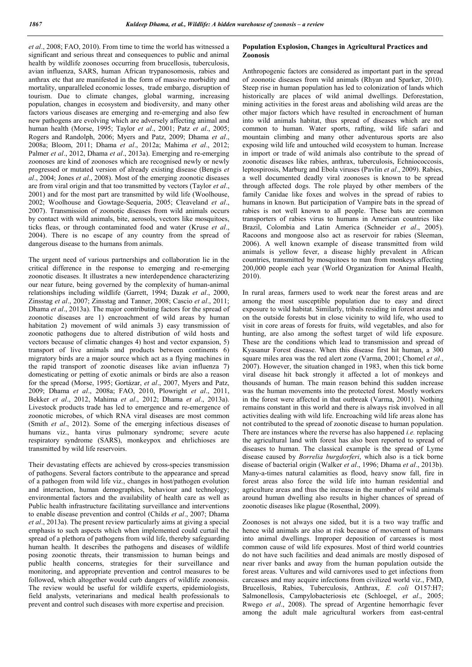*et al*., 2008; FAO, 2010). From time to time the world has witnessed a significant and serious threat and consequences to public and animal health by wildlife zoonoses occurring from brucellosis, tuberculosis, avian influenza, SARS, human African trypanosomosis, rabies and anthrax etc that are manifested in the form of massive morbidity and mortality, unparalleled economic losses, trade embargo, disruption of tourism. Due to climate changes, global warming, increasing population, changes in ecosystem and biodiversity, and many other factors various diseases are emerging and re-emerging and also few new pathogens are evolving which are adversely affecting animal and human health (Morse, 1995; Taylor *et al*., 2001; Patz *et al*., 2005; Rogers and Randolph, 2006; Myers and Patz, 2009; Dhama *et al*., 2008a; Bloom, 2011; Dhama *et al*., 2012a; Mahima *et al*., 2012; Palmer *et al*., 2012, Dhama *et al*., 2013a). Emerging and re-emerging zoonoses are kind of zoonoses which are recognised newly or newly progressed or mutated version of already existing disease (Bengis *et al*., 2004; Jones *et al*., 2008). Most of the emerging zoonotic diseases are from viral origin and that too transmitted by vectors (Taylor *et al*., 2001) and for the most part are transmitted by wild life (Woolhouse, 2002; Woolhouse and Gowtage-Sequeria, 2005; Cleaveland *et al*., 2007). Transmission of zoonotic diseases from wild animals occurs by contact with wild animals, bite, aerosols, vectors like mosquitoes, ticks fleas, or through contaminated food and water (Kruse *et al*., 2004). There is no escape of any country from the spread of dangerous disease to the humans from animals.

The urgent need of various partnerships and collaboration lie in the critical difference in the response to emerging and re-emerging zoonotic diseases. It illustrates a new interdependence characterizing our near future, being governed by the complexity of human-animal relationships including wildlife (Garrett, 1994; Dazak *et al*., 2000, Zinsstag *et al*., 2007; Zinsstag and Tanner, 2008; Cascio *et al*., 2011; Dhama *et al*., 2013a). The major contributing factors for the spread of zoonotic diseases are 1) encroachment of wild areas by human habitation 2) movement of wild animals 3) easy transmission of zoonotic pathogens due to altered distribution of wild hosts and vectors because of climatic changes 4) host and vector expansion, 5) transport of live animals and products between continents 6) migratory birds are a major source which act as a flying machines in the rapid transport of zoonotic diseases like avian influenza 7) domesticating or petting of exotic animals or birds are also a reason for the spread (Morse, 1995; Gortázar, *et al*., 2007, Myers and Patz, 2009; Dhama *et al*., 2008a; FAO, 2010, Plowright *et al*., 2011, Bekker *et al*., 2012, Mahima *et al*., 2012; Dhama *et al*., 2013a). Livestock products trade has led to emergence and re-emergence of zoonotic microbes, of which RNA viral diseases are most common (Smith *et al*., 2012). Some of the emerging infectious diseases of humans viz., hanta virus pulmonary syndrome; severe acute respiratory syndrome (SARS), monkeypox and ehrlichioses are transmitted by wild life reservoirs.

Their devastating effects are achieved by cross-species transmission of pathogens. Several factors contribute to the appearance and spread of a pathogen from wild life viz., changes in host/pathogen evolution and interaction, human demographics, behaviour and technology; environmental factors and the availability of health care as well as Public health infrastructure facilitating surveillance and interventions to enable disease prevention and control (Childs *et al*., 2007; Dhama *et al*., 2013a). The present review particularly aims at giving a special emphasis to such aspects which when implemented could curtail the spread of a plethora of pathogens from wild life, thereby safeguarding human health. It describes the pathogens and diseases of wildlife posing zoonotic threats, their transmission to human beings and public health concerns, strategies for their surveillance and monitoring, and appropriate prevention and control measures to be followed, which altogether would curb dangers of wildlife zoonosis. The review would be useful for wildlife experts, epidemiologists, field analysts, veterinarians and medical health professionals to prevent and control such diseases with more expertise and precision.

### Population Explosion, Changes in Agricultural Practices and Zoonosis

Anthropogenic factors are considered as important part in the spread of zoonotic diseases from wild animals (Rhyan and Sparker, 2010). Steep rise in human population has led to colonization of lands which historically are places of wild animal dwellings. Deforestation, mining activities in the forest areas and abolishing wild areas are the other major factors which have resulted in encroachment of human into wild animals habitat, thus spread of diseases which are not common to human. Water sports, rafting, wild life safari and mountain climbing and many other adventurous sports are also exposing wild life and untouched wild ecosystem to human. Increase in import or trade of wild animals also contribute to the spread of zoonotic diseases like rabies, anthrax, tuberculosis, Echniococcosis, leptospirosis, Marburg and Ebola viruses (Pavlin *et al*., 2009). Rabies, a well documented deadly viral zoonoses is known to be spread through affected dogs. The role played by other members of the family Canidae like foxes and wolves in the spread of rabies to humans in known. But participation of Vampire bats in the spread of rabies is not well known to all people. These bats are common transporters of rabies virus to humans in American countries like Brazil, Colombia and Latin America (Schneider *et al*., 2005). Racoons and mongoose also act as reservoir for rabies (Sleeman, 2006). A well known example of disease transmitted from wild animals is yellow fever, a disease highly prevalent in African countries, transmitted by mosquitoes to man from monkeys affecting 200,000 people each year (World Organization for Animal Health, 2010).

In rural areas, farmers used to work near the forest areas and are among the most susceptible population due to easy and direct exposure to wild habitat. Similarly, tribals residing in forest areas and on the outside forests but in close vicinity to wild life, who used to visit in core areas of forests for fruits, wild vegetables, and also for hunting, are also among the softest target of wild life exposure. These are the conditions which lead to transmission and spread of Kyasanur Forest disease. When this disease first hit human, a 300 square miles area was the red alert zone (Varma, 2001; Chomel *et al*., 2007). However, the situation changed in 1983, when this tick borne viral disease hit back strongly it affected a lot of monkeys and thousands of human. The main reason behind this sudden increase was the human movements into the protected forest. Mostly workers in the forest were affected in that outbreak (Varma, 2001). Nothing remains constant in this world and there is always risk involved in all activities dealing with wild life. Encroaching wild life areas alone has not contributed to the spread of zoonotic disease to human population. There are instances where the reverse has also happened *i.e.* replacing the agricultural land with forest has also been reported to spread of diseases to human. The classical example is the spread of Lyme disease caused by *Borrelia burgdorferi*, which also is a tick borne disease of bacterial origin (Walker *et al*., 1996; Dhama *et al*., 2013b). Many-a-times natural calamities as flood, heavy snow fall, fire in forest areas also force the wild life into human residential and agriculture areas and thus the increase in the number of wild animals around human dwelling also results in higher chances of spread of zoonotic diseases like plague (Rosenthal, 2009).

Zoonoses is not always one sided, but it is a two way traffic and hence wild animals are also at risk because of movement of humans into animal dwellings. Improper deposition of carcasses is most common cause of wild life exposures. Most of third world countries do not have such facilities and dead animals are mostly disposed of near river banks and away from the human population outside the forest areas. Vultures and wild carnivores used to get infections from carcasses and may acquire infections from civilized world viz., FMD, Brucellosis, Rabies, Tuberculosis, Anthrax, *E. coli* O157:H7; Salmonellosis, Campylobacteriosis etc (Schloegel, *et al*., 2005; Rwego *et al*., 2008). The spread of Argentine hemorrhagic fever among the adult male agricultural workers from east-central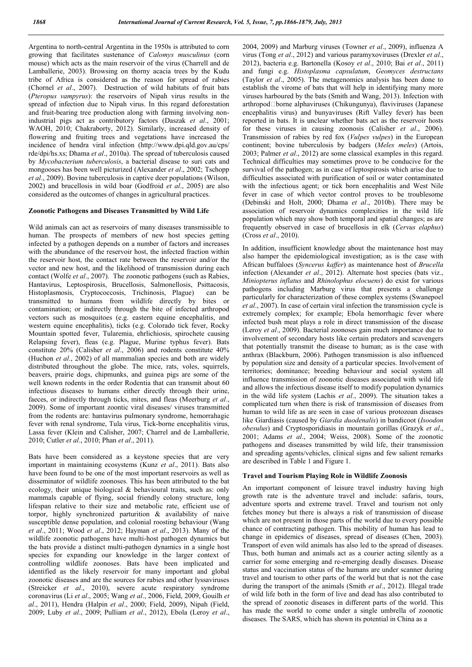Argentina to north-central Argentina in the 1950s is attributed to corn growing that facilitates sustenance of *Calomys musculinus* (corn mouse) which acts as the main reservoir of the virus (Charrell and de Lamballerie, 2003). Browsing on thorny acacia trees by the Kudu tribe of Africa is considered as the reason for spread of rabies (Chornel *et al*., 2007). Destruction of wild habitats of fruit bats (*Pteropus vampyrus*): the reservoirs of Nipah virus results in the spread of infection due to Nipah virus. In this regard deforestation and fruit-bearing tree production along with farming involving nonindustrial pigs act as contributory factors (Daszak *et al*., 2001; WAOH, 2010; Chakraborty, 2012). Similarly, increased density of flowering and fruiting trees and vegetations have increased the incidence of hendra viral infection (http://www.dpi.qld.gov.au/cps/ rde/dpi/hs.xs; Dhama *et al*., 2010a). The spread of tuberculosis caused by *Mycobacterium tuberculosis*, a bacterial disease to suri cats and mongooses has been well picturized (Alexander *et al*., 2002; Tschopp *et al*., 2009). Bovine tuberculosis in captive deer populations (Wilson, 2002) and brucellosis in wild boar (Godfroid *et al*., 2005) are also considered as the outcomes of changes in agricultural practices.

#### Zoonotic Pathogens and Diseases Transmitted by Wild Life

Wild animals can act as reservoirs of many diseases transmissible to human. The prospects of members of new host species getting infected by a pathogen depends on a number of factors and increases with the abundance of the reservoir host, the infected fraction within the reservoir host, the contact rate between the reservoir and/or the vector and new host, and the likelihood of transmission during each contact (Wolfe *et al*., 2007). The zoonotic pathogens (such as Rabies, Hantavirus, Leptospirosis, Brucellosis, Salmonellosis, Psittacosis, Histoplasmosis, Cryptococcosis, Trichinosis, Plague) can be transmitted to humans from wildlife directly by bites or contamination; or indirectly through the bite of infected arthropod vectors such as mosquitoes (e.g. eastern equine encephalitis, and western equine encephalitis), ticks (e.g. Colorado tick fever, Rocky Mountain spotted fever, Tularemia, ehrlichiosis, spirochete causing Relapsing fever), fleas (e.g. Plague, Murine typhus fever). Bats constitute 20% (Calisher *et al*., 2006) and rodents constitute 40% (Huchon *et al*., 2002) of all mammalian species and both are widely distributed throughout the globe. The mice, rats, voles, squirrels, beavers, prairie dogs, chipmunks, and guinea pigs are some of the well known rodents in the order Rodentia that can transmit about 60 infectious diseases to humans either directly through their urine, faeces, or indirectly through ticks, mites, and fleas (Meerburg *et al*., 2009). Some of important zoontic viral diseases/ viruses transmitted from the rodents are: hantavirus pulmonary syndrome, hemorrahagic fever with renal syndrome, Tula virus, Tick-borne encephalitis virus, Lassa fever (Klein and Calisher, 2007; Charrel and de Lamballerie, 2010; Cutler *et al*., 2010; Phan *et al*., 2011).

Bats have been considered as a keystone species that are very important in maintaining ecosystems (Kunz *et al*., 2011). Bats also have been found to be one of the most important reservoirs as well as disseminator of wildlife zoonoses. This has been attributed to the bat ecology, their unique biological & behavioural traits, such as: only mammals capable of flying, social friendly colony structure, long lifespan relative to their size and metabolic rate, efficient use of torpor, highly synchronized parturition & availability of naive susceptible dense population, and colonial roosting behaviour (Wang *et al*., 2011; Wood *et al*., 2012; Hayman *et al*., 2013). Many of the wildlife zoonotic pathogens have multi-host pathogen dynamics but the bats provide a distinct multi-pathogen dynamics in a single host species for expanding our knowledge in the larger context of controlling wildlife zoonoses. Bats have been implicated and identified as the likely reservoir for many important and global zoonotic diseases and are the sources for rabies and other lyssaviruses (Streicker *et al*., 2010), severe acute respiratory syndrome coronavirus (Li *et al*., 2005; Wang *et al*., 2006, Field, 2009, Gouilh *et al*., 2011), Hendra (Halpin *et al*., 2000; Field, 2009), Nipah (Field, 2009; Luby *et al*., 2009; Pulliam *et al*., 2012), Ebola (Leroy *et al*.,

2004, 2009) and Marburg viruses (Towner *et al*., 2009), influenza A virus (Tong *et al*., 2012) and various paramyxoviruses (Drexler *et al*., 2012), bacteria e.g. Bartonella (Kosoy *et al*., 2010; Bai *et al*., 2011) and fungi e.g. *Histoplasma capsulatum*, *Geomyces destructans* (Taylor *et al*., 2005). The metagenomics analysis has been done to establish the virome of bats that will help in identifying many more viruses harboured by the bats (Smith and Wang, 2013). Infection with  $arthropod$ Dorne alphaviruses (Chikungunya), flaviviruses (Japanese encephalitis virus) and bunyaviruses (Rift Valley fever) has been reported in bats. It is unclear whether bats act as the reservoir hosts for these viruses in causing zoonosis (Calisher *et al*., 2006). Transmission of rabies by red fox (*Vulpes vulpes*) in the European continent; bovine tuberculosis by badgers (*Meles meles*) (Artois, 2003; Palmer *et al*., 2012) are some classical examples in this regard. Technical difficulties may sometimes prove to be conducive for the survival of the pathogen; as in case of leptospirosis which arise due to difficulties associated with purification of soil or water contaminated with the infectious agent; or tick born encephalitis and West Nile fever in case of which vector control proves to be troublesome (Debinski and Holt, 2000; Dhama *et al*., 2010b). There may be association of reservoir dynamics complexities in the wild life population which may show both temporal and spatial changes; as are frequently observed in case of brucellosis in elk (*Cervus elaphus*) (Cross *et al*., 2010).

In addition, insufficient knowledge about the maintenance host may also hamper the epidemiological investigation; as is the case with African buffaloes (*Syncerus kaffer*) as maintenance host of *Brucella* infection (Alexander *et al*., 2012). Alternate host species (bats viz., *Miniopterus inflatus* and *Rhinolophus elocuens*) do exist for various pathogens including Marburg virus that presents a challenge particularly for characterization of these complex systems (Swanepoel *et al*., 2007). In case of certain viral infection the transmission cycle is extremely complex; for example; Ebola hemorrhagic fever where infected bush meat plays a role in direct transmission of the disease (Leroy *et al*., 2009). Bacterial zoonoses gain much importance due to involvement of secondary hosts like certain predators and scavengers that potentially transmit the disease to human; as is the case with anthrax (Blackburn, 2006). Pathogen transmission is also influenced by population size and density of a particular species. Involvement of territories; dominance; breeding behaviour and social system all influence transmission of zoonotic diseases associated with wild life and allows the infectious disease itself to modify population dynamics in the wild life system (Lachis *et al*., 2009). The situation takes a complicated turn when there is risk of transmission of diseases from human to wild life as are seen in case of various protozoan diseases like Giardiasis (caused by *Giardia duodenalis*) in bandicoot (*Isoodon obesulus*) and Cryptosporidiasis in mountain gorillas (Grazyk *et al*., 2001; Adams *et al*., 2004; Weiss, 2008). Some of the zoonotic pathogens and diseases transmitted by wild life, their transmission and spreading agents/vehicles, clinical signs and few salient remarks are described in Table 1 and Figure 1.

#### Travel and Tourism Playing Role in Wildlife Zoonosis

An important component of leisure travel industry having high growth rate is the adventure travel and include: safaris, tours, adventure sports and extreme travel. Travel and tourism not only fetches money but there is always a risk of transmission of disease which are not present in those parts of the world due to every possible chance of contracting pathogen. This mobility of human has lead to change in epidemics of diseases, spread of diseases (Chen, 2003). Transport of even wild animals has also led to the spread of diseases. Thus, both human and animals act as a courier acting silently as a carrier for some emerging and re-emerging deadly diseases. Disease status and vaccination status of the humans are under scanner during travel and tourism to other parts of the world but that is not the case during the transport of the animals (Smith *et al*., 2012). Illegal trade of wild life both in the form of live and dead has also contributed to the spread of zoonotic diseases in different parts of the world. This has made the world to come under a single umbrella of zoonotic diseases. The SARS, which has shown its potential in China as a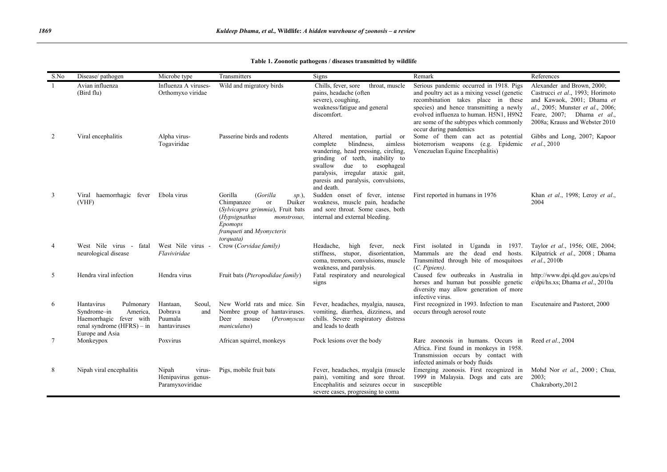| S.No           | Disease/pathogen                                                                                                                 | Microbe type                                                    | Transmitters                                                                                                                                                                           | Signs                                                                                                                                                                                                                                                                           | Remark                                                                                                                                                                                                                                                                                 | References                                                                                                                                                                                       |
|----------------|----------------------------------------------------------------------------------------------------------------------------------|-----------------------------------------------------------------|----------------------------------------------------------------------------------------------------------------------------------------------------------------------------------------|---------------------------------------------------------------------------------------------------------------------------------------------------------------------------------------------------------------------------------------------------------------------------------|----------------------------------------------------------------------------------------------------------------------------------------------------------------------------------------------------------------------------------------------------------------------------------------|--------------------------------------------------------------------------------------------------------------------------------------------------------------------------------------------------|
| -1             | Avian influenza<br>(Bird flu)                                                                                                    | Influenza A viruses-<br>Orthomyxo viridae                       | Wild and migratory birds                                                                                                                                                               | Chills, fever, sore<br>throat, muscle<br>pains, headache (often<br>severe), coughing,<br>weakness/fatigue and general<br>discomfort.                                                                                                                                            | Serious pandemic occurred in 1918. Pigs<br>and poultry act as a mixing vessel (genetic<br>recombination takes place in these<br>species) and hence transmitting a newly<br>evolved influenza to human. H5N1, H9N2<br>are some of the subtypes which commonly<br>occur during pandemics | Alexander and Brown, 2000;<br>Castrucci et al., 1993; Horimoto<br>and Kawaok, 2001; Dhama et<br>al., 2005; Munster et al., 2006;<br>Feare, 2007; Dhama et al.,<br>2008a; Krauss and Webster 2010 |
| 2              | Viral encephalitis                                                                                                               | Alpha virus-<br>Togaviridae                                     | Passerine birds and rodents                                                                                                                                                            | mentation,<br>partial or<br>Altered<br>blindness,<br>aimless<br>complete<br>wandering, head pressing, circling,<br>grinding of teeth, inability to<br>swallow<br>due to<br>esophageal<br>paralysis, irregular ataxic gait,<br>paresis and paralysis, convulsions,<br>and death. | Some of them can act as potential<br>bioterrorism weapons (e.g. Epidemic<br>Venezuelan Equine Encephalitis)                                                                                                                                                                            | Gibbs and Long, 2007; Kapoor<br>et al., 2010                                                                                                                                                     |
| 3              | Viral haemorrhagic fever<br>(VHF)                                                                                                | Ebola virus                                                     | Gorilla<br>(Gorilla<br>$sp.$ ),<br>Chimpanzee<br>Duiker<br>or<br>(Sylvicapra grimmia), Fruit bats<br>(Hypsignathus<br>monstrosus,<br>Epomops<br>franqueti and Myonycteris<br>torquata) | Sudden onset of fever, intense<br>weakness, muscle pain, headache<br>and sore throat. Some cases, both<br>internal and external bleeding.                                                                                                                                       | First reported in humans in 1976                                                                                                                                                                                                                                                       | Khan et al., 1998; Leroy et al.,<br>2004                                                                                                                                                         |
| $\overline{4}$ | West Nile virus -<br>fatal<br>neurological disease                                                                               | West Nile virus -<br>Flaviviridae                               | Crow (Corvidae family)                                                                                                                                                                 | Headache,<br>high<br>fever, neck<br>stiffness, stupor, disorientation,<br>coma, tremors, convulsions, muscle<br>weakness, and paralysis.                                                                                                                                        | First isolated<br>in Uganda in 1937.<br>Mammals are the dead end hosts.<br>Transmitted through bite of mosquitoes<br>(C. Pipiens).                                                                                                                                                     | Taylor et al., 1956; OIE, 2004;<br>Kilpatrick et al., 2008; Dhama<br>et al., 2010b                                                                                                               |
| 5              | Hendra viral infection                                                                                                           | Hendra virus                                                    | Fruit bats (Pteropodidae family)                                                                                                                                                       | Fatal respiratory and neurological<br>signs                                                                                                                                                                                                                                     | Caused few outbreaks in Australia in<br>horses and human but possible genetic<br>diversity may allow generation of more<br>infective virus.                                                                                                                                            | http://www.dpi.qld.gov.au/cps/rd<br>e/dpi/hs.xs; Dhama et al., 2010a                                                                                                                             |
| 6              | Hantavirus<br>Pulmonary<br>Syndrome-in<br>America,<br>Haemorrhagic fever with<br>renal syndrome $(HFRS) - in$<br>Europe and Asia | Hantaan,<br>Seoul.<br>Dobrava<br>and<br>Puumala<br>hantaviruses | New World rats and mice. Sin<br>Nombre group of hantaviruses.<br>mouse<br>(Peromyscus<br>Deer<br>maniculatus)                                                                          | Fever, headaches, myalgia, nausea,<br>vomiting, diarrhea, dizziness, and<br>chills. Severe respiratory distress<br>and leads to death                                                                                                                                           | First recognized in 1993. Infection to man<br>occurs through aerosol route                                                                                                                                                                                                             | Escutenaire and Pastoret, 2000                                                                                                                                                                   |
| 7              | Monkeypox                                                                                                                        | Poxvirus                                                        | African squirrel, monkeys                                                                                                                                                              | Pock lesions over the body                                                                                                                                                                                                                                                      | Rare zoonosis in humans. Occurs in<br>Africa. First found in monkeys in 1958.<br>Transmission occurs by contact with<br>infected animals or body fluids                                                                                                                                | Reed et al., 2004                                                                                                                                                                                |
| 8              | Nipah viral encephalitis                                                                                                         | Nipah<br>virus-<br>Henipavirus genus-<br>Paramyxoviridae        | Pigs, mobile fruit bats                                                                                                                                                                | Fever, headaches, myalgia (muscle<br>pain), vomiting and sore throat.<br>Encephalitis and seizures occur in<br>severe cases, progressing to coma                                                                                                                                | Emerging zoonosis. First recognized in<br>1999 in Malaysia. Dogs and cats are<br>susceptible                                                                                                                                                                                           | Mohd Nor et al., 2000; Chua,<br>2003;<br>Chakraborty, 2012                                                                                                                                       |

Table 1. Zoonotic pathogens / diseases transmitted by wildlife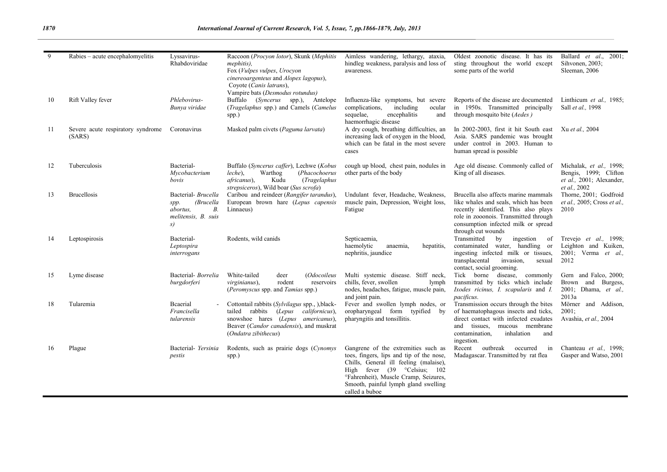| 9  | Rabies – acute encephalomyelitis                        | Lyssavirus-<br>Rhabdoviridae                                                                   | Raccoon (Procyon lotor), Skunk (Mephitis<br>mephitis),<br>Fox (Vulpes vulpes, Urocyon<br>cinereoargenteus and Alopex lagopus),<br>Coyote (Canis latrans),<br>Vampire bats (Desmodus rotundus)   | Aimless wandering, lethargy, ataxia,<br>hindleg weakness, paralysis and loss of<br>awareness.                                                                                                                                                                            | Oldest zoonotic disease. It has its<br>sting throughout the world except<br>some parts of the world                                                                                                                         | Ballard et al.,<br>$2001$ ;<br>Sihvonen, 2003;<br>Sleeman, 2006                              |
|----|---------------------------------------------------------|------------------------------------------------------------------------------------------------|-------------------------------------------------------------------------------------------------------------------------------------------------------------------------------------------------|--------------------------------------------------------------------------------------------------------------------------------------------------------------------------------------------------------------------------------------------------------------------------|-----------------------------------------------------------------------------------------------------------------------------------------------------------------------------------------------------------------------------|----------------------------------------------------------------------------------------------|
| 10 | Rift Valley fever                                       | Phlebovirus-<br>Bunya viridae                                                                  | Buffalo (Syncerus spp.), Antelope<br>(Tragelaphus spp.) and Camels (Camelus<br>spp.)                                                                                                            | Influenza-like symptoms, but severe<br>including<br>complications,<br>ocular<br>sequelae.<br>encephalitis<br>and<br>haemorrhagic disease                                                                                                                                 | Reports of the disease are documented<br>in 1950s. Transmitted principally<br>through mosquito bite (Aedes)                                                                                                                 | Linthicum et al., 1985;<br>Sall et al., 1998                                                 |
| 11 | Severe acute respiratory syndrome Coronavirus<br>(SARS) |                                                                                                | Masked palm civets (Paguma larvata)                                                                                                                                                             | A dry cough, breathing difficulties, an<br>increasing lack of oxygen in the blood,<br>which can be fatal in the most severe<br>cases                                                                                                                                     | In 2002-2003, first it hit South east<br>Asia. SARS pandemic was brought<br>under control in 2003. Human to<br>human spread is possible                                                                                     | Xu et al., 2004                                                                              |
| 12 | Tuberculosis                                            | Bacterial-<br>Mycobacterium<br>bovis                                                           | Buffalo (Syncerus caffer), Lechwe (Kobus<br>Warthog<br>(Phacochoerus<br>leche),<br>Kudu<br>(Tragelaphus<br><i>africanus</i> ).<br>strepsiceros), Wild boar (Sus scrofa)                         | cough up blood, chest pain, nodules in<br>other parts of the body                                                                                                                                                                                                        | Age old disease. Commonly called of<br>King of all diseases.                                                                                                                                                                | Michalak, et al., 1998;<br>Bengis, 1999; Clifton<br>et al., 2001; Alexander,<br>et al., 2002 |
| 13 | <b>Brucellosis</b>                                      | Bacterial- Brucella<br>(Brucella<br>spp.<br>В.<br><i>abortus.</i><br>melitensis, B. suis<br>s) | Caribou and reindeer (Rangifer tarandus),<br>European brown hare (Lepus capensis<br>Linnaeus)                                                                                                   | Undulant fever, Headache, Weakness,<br>muscle pain, Depression, Weight loss,<br>Fatigue                                                                                                                                                                                  | Brucella also affects marine mammals<br>like whales and seals, which has been<br>recently identified. This also plays<br>role in zooonois. Transmitted through<br>consumption infected milk or spread<br>through cut wounds | Thorne, 2001; Godfroid<br>et al., 2005; Cross et al.,<br>2010                                |
| 14 | Leptospirosis                                           | Bacterial-<br>Leptospira<br>interrogans                                                        | Rodents, wild canids                                                                                                                                                                            | Septicaemia,<br>haemolytic<br>anaemia,<br>hepatitis.<br>nephritis, jaundice                                                                                                                                                                                              | Transmitted<br>by<br>ingestion<br>0f<br>contaminated water, handling or<br>ingesting infected milk or tissues,<br>transplacental<br>invasion,<br>sexual<br>contact, social grooming.                                        | Trevejo et al., 1998;<br>Leighton and Kuiken,<br>2001; Verma et al.,<br>2012                 |
| 15 | Lyme disease                                            | Bacterial- Borrelia<br>burgdorferi                                                             | White-tailed<br>deer<br><i>(Odocoileus</i><br>virginianus),<br>rodent<br>reservoirs<br>( <i>Peromyscus</i> spp. and <i>Tamias</i> spp.)                                                         | Multi systemic disease. Stiff neck,<br>chills, fever, swollen<br>lymph<br>nodes, headaches, fatigue, muscle pain,<br>and joint pain.                                                                                                                                     | Tick borne disease, commonly<br>transmitted by ticks which include<br>Ixodes ricinus, I. scapularis and I.<br>pacificus.                                                                                                    | Gern and Falco, 2000;<br>Brown and Burgess,<br>2001; Dhama, et al.,<br>2013a                 |
| 18 | Tularemia                                               | Bcaerial<br>Francisella<br>tularensis                                                          | Cottontail rabbits (Sylvilagus spp., ), black-<br>tailed rabbits (Lepus californicus),<br>snowshoe hares (Lepus americanus),<br>Beaver (Candor canadensis), and muskrat<br>(Ondatra zibithecus) | Fever and swollen lymph nodes, or<br>oropharyngeal form typified by<br>pharyngitis and tonsillitis.                                                                                                                                                                      | Transmission occurs through the bites<br>of haematophagous insects and ticks,<br>direct contact with infected exudates<br>and tissues.<br>mucous membrane<br>contamination.<br>inhalation<br>and<br>ingestion.              | Mörner and Addison,<br>2001:<br>Avashia, et al., 2004                                        |
| 16 | Plague                                                  | Bacterial- Yersinia<br>pestis                                                                  | Rodents, such as prairie dogs (Cynomys<br>spp.)                                                                                                                                                 | Gangrene of the extremities such as<br>toes, fingers, lips and tip of the nose,<br>Chills, General ill feeling (malaise),<br>High fever (39 °Celsius; 102<br><sup>o</sup> Fahrenheit), Muscle Cramp, Seizures,<br>Smooth, painful lymph gland swelling<br>called a buboe | Recent<br>outbreak<br>in<br>occurred<br>Madagascar. Transmitted by rat flea                                                                                                                                                 | Chanteau et al., 1998;<br>Gasper and Watso, 2001                                             |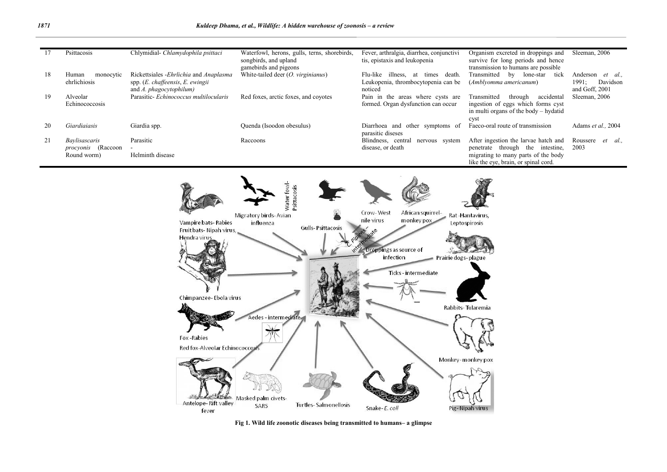|    | Psittacosis                                                      | Chlymidial- Chlamydophila psittaci                                                                           | Waterfowl, herons, gulls, terns, shorebirds,<br>songbirds, and upland<br>gamebirds and pigeons | Fever, arthralgia, diarrhea, conjunctivi<br>tis, epistaxis and leukopenia                       | Organism excreted in droppings and<br>survive for long periods and hence<br>transmission to humans are possible                                         | Sleeman, 2006                                             |
|----|------------------------------------------------------------------|--------------------------------------------------------------------------------------------------------------|------------------------------------------------------------------------------------------------|-------------------------------------------------------------------------------------------------|---------------------------------------------------------------------------------------------------------------------------------------------------------|-----------------------------------------------------------|
| 18 | Human<br>monocytic<br>ehrlichiosis                               | Rickettsiales - Ehrlichia and Anaplasma<br>spp. $(E.$ chaffeensis, $E.$ ewingii<br>and $A.$ phagocytophilum) | White-tailed deer $(O. virginianus)$                                                           | illness.<br>Flu-like<br>death.<br>at<br>times<br>Leukopenia, thrombocytopenia can be<br>noticed | Transmitted<br>bv<br>lone-star<br>tick<br>(Amblyomma americanum)                                                                                        | Anderson<br>et al.<br>Davidson<br>1991:<br>and Goff, 2001 |
| 19 | Alveolar<br>Echinococcosis                                       | Parasitic- Echinococcus multilocularis                                                                       | Red foxes, arctic foxes, and coyotes                                                           | Pain in the areas where cysts are<br>formed. Organ dysfunction can occur                        | accidental<br>Transmitted<br>through<br>ingestion of eggs which forms cyst<br>in multi organs of the body – hydatid<br>cyst                             | Sleeman, 2006                                             |
| 20 | Giardiaiasis                                                     | Giardia spp.                                                                                                 | Quenda (Isoodon obesulus)                                                                      | Diarrhoea and other symptoms of<br>parasitic diseses                                            | Faeco-oral route of transmission                                                                                                                        | Adams et al., 2004                                        |
| 21 | <i>Baylisascaris</i><br><i>procyonis</i> (Raccoon<br>Round worm) | Parasitic<br>Helminth disease                                                                                | Raccoons                                                                                       | Blindness, central<br>nervous system<br>disease, or death                                       | After ingestion the larvae hatch and<br>penetrate through the intestine,<br>migrating to many parts of the body<br>like the eye, brain, or spinal cord. | Roussere<br>et al.,<br>2003                               |



Fig 1. Wild life zoonotic diseases being transmitted to humans– a glimpse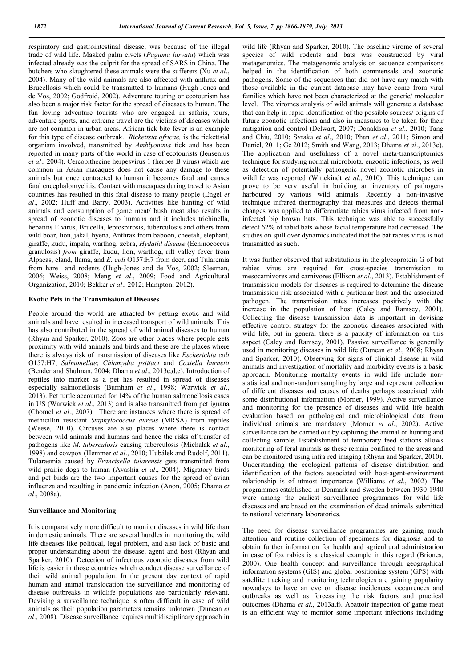respiratory and gastrointestinal disease, was because of the illegal trade of wild life. Masked palm civets (*Paguma larvata*) which was infected already was the culprit for the spread of SARS in China. The butchers who slaughtered these animals were the sufferers (Xu *et al*., 2004). Many of the wild animals are also affected with anthrax and Brucellosis which could be transmitted to humans (Hugh-Jones and de Vos, 2002; Godfroid, 2002). Adventure touring or ecotourism has also been a major risk factor for the spread of diseases to human. The fun loving adventure tourists who are engaged in safaris, tours, adventure sports, and extreme travel are the victims of diseases which are not common in urban areas. African tick bite fever is an example for this type of disease outbreak. *Rickettsia africae,* is the rickettsial organism involved, transmitted by *Amblyomma* tick and has been reported in many parts of the world in case of ecotourists (Jensenius *et al*., 2004). Cercopithecine herpesvirus 1 (herpes B virus) which are common in Asian macaques does not cause any damage to these animals but once contracted to human it becomes fatal and causes fatal encephalomyelitis. Contact with macaques during travel to Asian countries has resulted in this fatal disease to many people (Engel *et al*., 2002; Huff and Barry, 2003). Activities like hunting of wild animals and consumption of game meat/ bush meat also results in spread of zoonotic diseases to humans and it includes trichinella, hepatitis E virus, Brucella, leptospirosis, tuberculosis and others from wild boar, lion, jakal, hyena, Anthrax from baboon, cheetah, elephant, giraffe, kudu, impala, warthog, zebra, *Hydatid disease* (Echinococcus granulosis) *from* giraffe, kudu, lion, warthog, rift valley fever from Alpacas, eland, llama, and *E. coli* O157:H7 from deer, and Tularemia from hare and rodents (Hugh-Jones and de Vos, 2002; Sleeman, 2006; Weiss, 2008; Meng *et al*., 2009; Food and Agricultural Organization, 2010; Bekker *et al*., 2012; Hampton, 2012).

#### Exotic Pets in the Transmission of Diseases

People around the world are attracted by petting exotic and wild animals and have resulted in increased transport of wild animals. This has also contributed in the spread of wild animal diseases to human (Rhyan and Sparker, 2010). Zoos are other places where people gets proximity with wild animals and birds and these are the places where there is always risk of transmission of diseases like *Escherichia coli* O157:H7; *Salmonellae*; *Chlamydia psittaci* and *Coxiella burnetii*  (Bender and Shulman, 2004; Dhama *et al*., 2013c,d,e). Introduction of reptiles into market as a pet has resulted in spread of diseases especially salmonellosis (Burnham *et al*., 1998; Warwick *et al*., 2013). Pet turtle accounted for 14% of the human salmonellosis cases in US (Warwick *et al*., 2013) and is also transmitted from pet iguana (Chomel *et al*., 2007). There are instances where there is spread of methicillin resistant *Staphylococcus aureus* (MRSA) from reptiles (Weese, 2010). Circuses are also places where there is contact between wild animals and humans and hence the risks of transfer of pathogens like *M. tuberculosis* causing tuberculosis (Michalak *et al*., 1998) and cowpox (Hemmer *et al*., 2010; Hubálek and Rudolf, 2011). Tularaemia caused by *Francisella tularensis* gets transmitted from wild prairie dogs to human (Avashia *et al*., 2004). Migratory birds and pet birds are the two important causes for the spread of avian influenza and resulting in pandemic infection (Anon, 2005; Dhama *et al*., 2008a).

#### Surveillance and Monitoring

It is comparatively more difficult to monitor diseases in wild life than in domestic animals. There are several hurdles in monitoring the wild life diseases like political, legal problem, and also lack of basic and proper understanding about the disease, agent and host (Rhyan and Sparker, 2010). Detection of infectious zoonotic diseases from wild life is easier in those countries which conduct disease surveillance of their wild animal population. In the present day context of rapid human and animal translocation the surveillance and monitoring of disease outbreaks in wildlife populations are particularly relevant. Devising a surveillance technique is often difficult in case of wild animals as their population parameters remains unknown (Duncan *et al*., 2008). Disease surveillance requires multidisciplinary approach in

wild life (Rhyan and Sparker, 2010). The baseline virome of several species of wild rodents and bats was constructed by viral metagenomics. The metagenomic analysis on sequence comparisons helped in the identification of both commensals and zoonotic pathogens. Some of the sequences that did not have any match with those available in the current database may have come from viral families which have not been characterized at the genetic/ molecular level. The viromes analysis of wild animals will generate a database that can help in rapid identification of the possible sources/ origins of future zoonotic infections and also in measures to be taken for their mitigation and control (Delwart, 2007; Donaldson *et al*., 2010; Tang and Chiu, 2010; Svraka *et al*., 2010; Phan *et al*., 2011; Simon and Daniel, 2011; Ge 2012; Smith and Wang, 2013; Dhama *et al*., 2013e). The application and usefulness of a novel meta-transcriptomics technique for studying normal microbiota, enzootic infections, as well as detection of potentially pathogenic novel zoonotic microbes in wildlife was reported (Wittekindt *et al*., 2010). This technique can prove to be very useful in building an inventory of pathogens harboured by various wild animals. Recently a non-invasive technique infrared thermography that measures and detects thermal changes was applied to differentiate rabies virus infected from noninfected big brown bats. This technique was able to successfully detect 62% of rabid bats whose facial temperature had decreased. The studies on spill over dynamics indicated that the bat rabies virus is not transmitted as such.

It was further observed that substitutions in the glycoprotein G of bat rabies virus are required for cross-species transmission to mesocarnivores and carnivores (Ellison *et al*., 2013). Establishment of transmission models for diseases is required to determine the disease transmission risk associated with a particular host and the associated pathogen. The transmission rates increases positively with the increase in the population of host (Caley and Ramsey, 2001). Collecting the disease transmission data is important in devising effective control strategy for the zoonotic diseases associated with wild life, but in general there is a paucity of information on this aspect (Caley and Ramsey, 2001). Passive surveillance is generally used in monitoring diseases in wild life (Duncan *et al*., 2008; Rhyan and Sparker, 2010). Observing for signs of clinical disease in wild animals and investigation of mortality and morbidity events is a basic approach. Monitoring mortality events in wild life include nonstatistical and non-random sampling by large and represent collection of different diseases and causes of deaths perhaps associated with some distributional information (Morner, 1999). Active surveillance and monitoring for the presence of diseases and wild life health evaluation based on pathological and microbiological data from individual animals are mandatory (Morner *et al*., 2002). Active surveillance can be carried out by capturing the animal or hunting and collecting sample. Establishment of temporary feed stations allows monitoring of feral animals as these remain confined to the areas and can be monitored using infra red imaging (Rhyan and Sparker, 2010). Understanding the ecological patterns of disease distribution and identification of the factors associated with host-agent-environment relationship is of utmost importance (Williams *et al*., 2002). The programmes established in Denmark and Sweden between 1930-1940 were among the earliest surveillance programmes for wild life diseases and are based on the examination of dead animals submitted to national veterinary laboratories.

The need for disease surveillance programmes are gaining much attention and routine collection of specimens for diagnosis and to obtain further information for health and agricultural administration in case of fox rabies is a classical example in this regard (Briones, 2000). One health concept and surveillance through geographical information systems (GIS) and global positioning system (GPS) with satellite tracking and monitoring technologies are gaining popularity nowadays to have an eye on disease incidences, occurrences and outbreaks as well as forecasting the risk factors and practical outcomes (Dhama *et al*., 2013a,f). Abattoir inspection of game meat is an efficient way to monitor some important infections including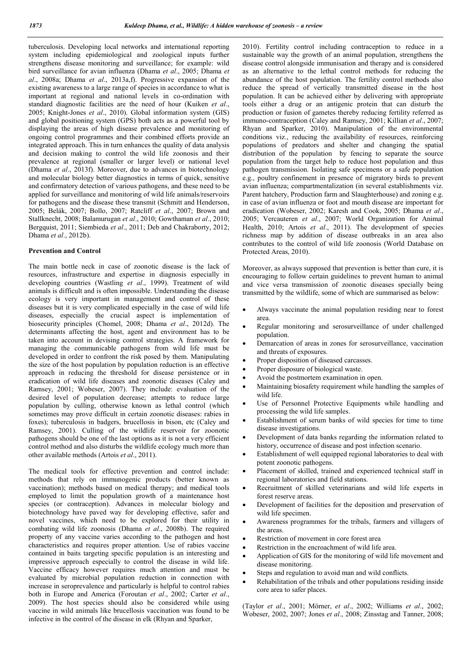tuberculosis. Developing local networks and international reporting system including epidemiological and zoological inputs further strengthens disease monitoring and surveillance; for example: wild bird surveillance for avian influenza (Dhama *et al*., 2005; Dhama *et al*., 2008a; Dhama *et al*., 2013a,f). Progressive expansion of the existing awareness to a large range of species in accordance to what is important at regional and national levels in co-ordination with standard diagnostic facilities are the need of hour (Kuiken *et al*., 2005; Knight-Jones *et al*., 2010). Global information system (GIS) and global positioning system (GPS) both acts as a powerful tool by displaying the areas of high disease prevalence and monitoring of ongoing control programmes and their combined efforts provide an integrated approach. This in turn enhances the quality of data analysis and decision making to control the wild life zoonosis and their prevalence at regional (smaller or larger level) or national level (Dhama *et al*., 2013f). Moreover, due to advances in biotechnology and molecular biology better diagnostics in terms of quick, sensitive and confirmatory detection of various pathogens, and these need to be applied for surveillance and monitoring of wild life animals/reservoirs for pathogens and the disease these transmit (Schmitt and Henderson, 2005; Belák, 2007; Bollo, 2007; Ratcliff *et al*., 2007; Brown and Stallknecht, 2008; Balamurugan *et al*., 2010; Gowthaman *et al*., 2010; Bergquist, 2011; Siembieda *et al*., 2011; Deb and Chakraborty, 2012; Dhama *et al*., 2012b).

### Prevention and Control

The main bottle neck in case of zoonotic disease is the lack of resources, infrastructure and expertise in diagnosis especially in developing countries (Wastling *et al*., 1999). Treatment of wild animals is difficult and is often impossible. Understanding the disease ecology is very important in management and control of these diseases but it is very complicated especially in the case of wild life diseases, especially the crucial aspect is implementation of biosecurity principles (Chomel, 2008; Dhama *et al*., 2012d). The determinants affecting the host, agent and environment has to be taken into account in devising control strategies. A framework for managing the communicable pathogens from wild life must be developed in order to confront the risk posed by them. Manipulating the size of the host population by population reduction is an effective approach in reducing the threshold for disease persistence or in eradication of wild life diseases and zoonotic diseases (Caley and Ramsey, 2001; Wobeser, 2007). They include: evaluation of the desired level of population decrease; attempts to reduce large population by culling, otherwise known as lethal control (which sometimes may prove difficult in certain zoonotic diseases: rabies in foxes); tuberculosis in badgers, brucellosis in bison, etc (Caley and Ramsey, 2001). Culling of the wildlife reservoir for zoonotic pathogens should be one of the last options as it is not a very efficient control method and also disturbs the wildlife ecology much more than other available methods (Artois *et al*., 2011).

The medical tools for effective prevention and control include: methods that rely on immunogenic products (better known as vaccination); methods based on medical therapy; and medical tools employed to limit the population growth of a maintenance host species (or contraception). Advances in molecular biology and biotechnology have paved way for developing effective, safer and novel vaccines, which need to be explored for their utility in combating wild life zoonosis (Dhama *et al*., 2008b). The required property of any vaccine varies according to the pathogen and host characteristics and requires proper attention. Use of rabies vaccine contained in baits targeting specific population is an interesting and impressive approach especially to control the disease in wild life. Vaccine efficacy however requires much attention and must be evaluated by microbial population reduction in connection with increase in seroprevalence and particularly is helpful to control rabies both in Europe and America (Foroutan *et al*., 2002; Carter *et al*., 2009). The host species should also be considered while using vaccine in wild animals like brucellosis vaccination was found to be infective in the control of the disease in elk (Rhyan and Sparker,

2010). Fertility control including contraception to reduce in a sustainable way the growth of an animal population, strengthens the disease control alongside immunisation and therapy and is considered as an alternative to the lethal control methods for reducing the abundance of the host population. The fertility control methods also reduce the spread of vertically transmitted disease in the host population. It can be achieved either by delivering with appropriate tools either a drug or an antigenic protein that can disturb the production or fusion of gametes thereby reducing fertility referred as immuno-contraception (Caley and Ramsey, 2001; Killian *et al*., 2007; Rhyan and Sparker, 2010). Manipulation of the environmental conditions viz., reducing the availability of resources, reinforcing populations of predators and shelter and changing the spatial distribution of the population by fencing to separate the source population from the target help to reduce host population and thus pathogen transmission. Isolating safe specimens or a safe population e.g., poultry confinement in presence of migratory birds to prevent avian influenza; compartmentalization (in several establishments viz. Parent hatchery, Production farm and Slaughterhouse) and zoning e.g. in case of avian influenza or foot and mouth disease are important for eradication (Wobeser, 2002; Karesh and Cook, 2005; Dhama *et al*., 2005; Vercauteren *et al*., 2007; World Organization for Animal Health, 2010; Artois *et al*., 2011). The development of species richness map by addition of disease outbreaks in an area also contributes to the control of wild life zoonosis (World Database on Protected Areas, 2010).

Moreover, as always supposed that prevention is better than cure, it is encouraging to follow certain guidelines to prevent human to animal and vice versa transmission of zoonotic diseases specially being transmitted by the wildlife, some of which are summarised as below:

- Always vaccinate the animal population residing near to forest area.
- Regular monitoring and serosurveillance of under challenged population.
- Demarcation of areas in zones for serosurveillance, vaccination and threats of exposures.
- Proper disposition of diseased carcasses.
- Proper disposure of biological waste.
- Avoid the postmortem examination in open.
- Maintaining biosafety requirement while handling the samples of wild life.
- Use of Personnel Protective Equipments while handling and processing the wild life samples.
- Establishment of serum banks of wild species for time to time disease investigations.
- Development of data banks regarding the information related to history, occurrence of disease and post infection scenario.
- Establishment of well equipped regional laboratories to deal with potent zoonotic pathogens.
- Placement of skilled, trained and experienced technical staff in regional laboratories and field stations.
- Recruitment of skilled veterinarians and wild life experts in forest reserve areas.
- Development of facilities for the deposition and preservation of wild life specimen.
- Awareness programmes for the tribals, farmers and villagers of the areas.
- Restriction of movement in core forest area
- Restriction in the encroachment of wild life area.
- Application of GIS for the monitoring of wild life movement and disease monitoring.
- Steps and regulation to avoid man and wild conflicts.
- Rehabilitation of the tribals and other populations residing inside core area to safer places.

(Taylor *et al*., 2001; Mörner, *et al*., 2002; Williams *et al*., 2002; Wobeser, 2002, 2007; Jones *et al*., 2008; Zinsstag and Tanner, 2008;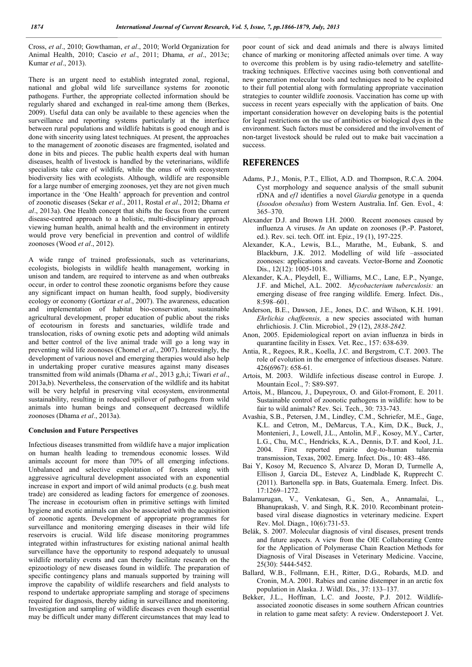Cross, *et al*., 2010; Gowthaman, *et al*., 2010; World Organization for Animal Health, 2010; Cascio *et al*., 2011; Dhama, *et al*., 2013c; Kumar *et al*., 2013).

There is an urgent need to establish integrated zonal, regional, national and global wild life surveillance systems for zoonotic pathogens. Further, the appropriate collected information should be regularly shared and exchanged in real-time among them (Berkes, 2009). Useful data can only be available to these agencies when the surveillance and reporting systems particularly at the interface between rural populations and wildlife habitats is good enough and is done with sincerity using latest techniques. At present, the approaches to the management of zoonotic diseases are fragmented, isolated and done in bits and pieces. The public health experts deal with human diseases, health of livestock is handled by the veterinarians, wildlife specialists take care of wildlife, while the onus of with ecosystem biodiversity lies with ecologists. Although, wildlife are responsible for a large number of emerging zoonoses, yet they are not given much importance in the 'One Health' approach for prevention and control of zoonotic diseases (Sekar *et al*., 2011, Rostal *et al*., 2012; Dhama *et al*., 2013a). One Health concept that shifts the focus from the current disease-centred approach to a holistic, multi-disciplinary approach viewing human health, animal health and the environment in entirety would prove very beneficial in prevention and control of wildlife zoonoses (Wood *et al*., 2012).

A wide range of trained professionals, such as veterinarians, ecologists, biologists in wildlife health management, working in unison and tandem, are required to intervene as and when outbreaks occur, in order to control these zoonotic organisms before they cause any significant impact on human health, food supply, biodiversity ecology or economy (Gortázar *et al*., 2007). The awareness, education and implementation of habitat bio-conservation, sustainable agricultural development, proper education of public about the risks of ecotourism in forests and sanctuaries, wildlife trade and translocation, risks of owning exotic pets and adopting wild animals and better control of the live animal trade will go a long way in preventing wild life zoonoses (Chomel *et al*., 2007). Interestingly, the development of various novel and emerging therapies would also help in undertaking proper curative measures against many diseases transmitted from wild animals (Dhama *et al*., 2013 g,h,i; Tiwari *et al*., 2013a,b). Nevertheless, the conservation of the wildlife and its habitat will be very helpful in preserving vital ecosystem, environmental sustainability, resulting in reduced spillover of pathogens from wild animals into human beings and consequent decreased wildlife zoonoses (Dhama *et al*., 2013a).

#### Conclusion and Future Perspectives

Infectious diseases transmitted from wildlife have a major implication on human health leading to tremendous economic losses. Wild animals account for more than 70% of all emerging infections. Unbalanced and selective exploitation of forests along with aggressive agricultural development associated with an exponential increase in export and import of wild animal products (e.g. bush meat trade) are considered as leading factors for emergence of zoonoses. The increase in ecotourism often in primitive settings with limited hygiene and exotic animals can also be associated with the acquisition of zoonotic agents. Development of appropriate programmes for surveillance and monitoring emerging diseases in their wild life reservoirs is crucial. Wild life disease monitoring programmes integrated within infrastructures for existing national animal health surveillance have the opportunity to respond adequately to unusual wildlife mortality events and can thereby facilitate research on the epizootiology of new diseases found in wildlife. The preparation of specific contingency plans and manuals supported by training will improve the capability of wildlife researchers and field analysts to respond to undertake appropriate sampling and storage of specimens required for diagnosis, thereby aiding in surveillance and monitoring. Investigation and sampling of wildlife diseases even though essential may be difficult under many different circumstances that may lead to

poor count of sick and dead animals and there is always limited chance of marking or monitoring affected animals over time. A way to overcome this problem is by using radio-telemetry and satellitetracking techniques. Effective vaccines using both conventional and new generation molecular tools and techniques need to be exploited to their full potential along with formulating appropriate vaccination strategies to counter wildlife zoonosis. Vaccination has come up with success in recent years especially with the application of baits. One important consideration however on developing baits is the potential for legal restrictions on the use of antibiotics or biological dyes in the environment. Such factors must be considered and the involvement of non-target livestock should be ruled out to make bait vaccination a success.

## **REFERENCES**

- Adams, P.J., Monis, P.T., Elliot, A.D. and Thompson, R.C.A. 2004. Cyst morphology and sequence analysis of the small subunit rDNA and *ef1* identifies a novel *Giardia* genotype in a quenda (*Isoodon obesulus*) from Western Australia. Inf. Gen. Evol., 4: 365–370.
- Alexander D.J. and Brown I.H. 2000. Recent zoonoses caused by influenza A viruses. *In* An update on zoonoses (P.-P. Pastoret, ed.). Rev. sci. tech. Off. int. Epiz., 19 (1), 197-225.
- Alexander, K.A., Lewis, B.L., Marathe, M., Eubank, S. and Blackburn, J.K. 2012. Modelling of wild life –associated zoonoses: applications and caveats. Vector-Borne and Zoonotic Dis., 12(12): 1005-1018.
- Alexander, K.A., Pleydell, E., Williams, M.C., Lane, E.P., Nyange, J.F. and Michel, A.L. 2002. *Mycobacterium tuberculosis:* an emerging disease of free ranging wildlife. Emerg. Infect. Dis., 8:598–601.
- Anderson, B.E., Dawson, J.E., Jones, D.C. and Wilson, K.H. 1991. *Ehrlichia chaffeensis,* a new species associated with human ehrlichiosis. J. Clin. Microbiol., 29 (12), *2838-2842.*
- Anon, 2005. Epidemiological report on avian influenza in birds in quarantine facility in Essex*.* Vet. Rec., 157: 638-639.
- Antia, R., Regoes, R.R., Koella, J.C. and Bergstrom, C.T. 2003. The role of evolution in the emergence of infectious diseases. Nature. 426(6967): 658-61.
- Artois, M. 2003. Wildlife infectious disease control in Europe*.* J. Mountain Ecol., 7: S89-S97.
- Artois, M., Blancou, J., Dupeyroux, O. and Gilot-Fromont, E. 2011. Sustainable control of zoonotic pathogens in wildlife: how to be fair to wild animals? Rev. Sci. Tech., 30: 733-743.
- Avashia, S.B., Petersen, J.M., Lindley, C.M., Schriefer, M.E., Gage, K.L. and Cetron, M., DeMarcus, T.A., Kim, D.K., Buck, J., Montenieri, J., Lowell, J.L., Antolin, M.F., Kosoy, M.Y., Carter, L.G., Chu, M.C., Hendricks, K.A., Dennis, D.T. and Kool, J.L. 2004. First reported prairie dog-to-human tularemia transmission, Texas, 2002. Emerg. Infect. Dis., 10: 483–486.
- Bai Y, Kosoy M, Recuenco S, Alvarez D, Moran D, Turmelle A, Ellison J, Garcia DL, Estevez A, Lindblade K, Rupprecht C. (2011). Bartonella spp. in Bats, Guatemala. Emerg. Infect. Dis. 17:1269–1272.
- Balamurugan, V., Venkatesan, G., Sen, A., Annamalai, L., Bhanuprakash, V. and Singh, R.K. 2010. Recombinant proteinbased viral disease diagnostics in veterinary medicine. Expert Rev. Mol. Diagn., 10(6):731-53.
- Belák, S. 2007. Molecular diagnosis of viral diseases, present trends and future aspects. A view from the OIE Collaborating Centre for the Application of Polymerase Chain Reaction Methods for Diagnosis of Viral Diseases in Veterinary Medicine. Vaccine, 25(30): 5444-5452.
- Ballard, W.B., Follmann, E.H., Ritter, D.G., Robards, M.D. and Cronin, M.A. 2001. Rabies and canine distemper in an arctic fox population in Alaska. J. Wildl. Dis., 37: 133–137.
- Bekker, J.L., Hoffman, L.C. and Jooste, P.J. 2012. Wildlifeassociated zoonotic diseases in some southern African countries in relation to game meat safety: A review. Onderstepoort J. Vet.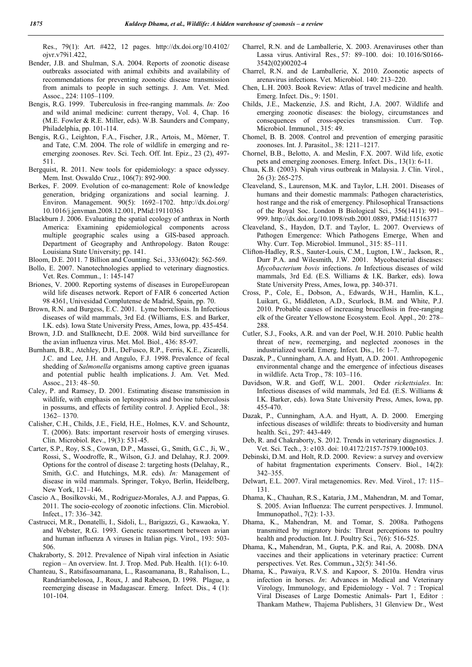Res., 79(1): Art. #422, 12 pages. http://dx.doi.org/10.4102/ ojvr.v79i1.422,

- Bender, J.B. and Shulman, S.A. 2004. Reports of zoonotic disease outbreaks associated with animal exhibits and availability of recommendations for preventing zoonotic disease transmission from animals to people in such settings. J. Am. Vet. Med. Assoc., 224: 1105–1109.
- Bengis, R.G. 1999. Tuberculosis in free-ranging mammals. *In:* Zoo and wild animal medicine: current therapy, Vol. 4, Chap. 16 (M.E. Fowler & R.E. Miller, eds). W.B. Saunders and Company, Philadelphia, pp. 101-114.
- Bengis, R.G., Leighton, F.A., Fischer, J.R., Artois, M., Mörner, T. and Tate, C.M. 2004. The role of wildlife in emerging and reemerging zoonoses. Rev. Sci. Tech. Off. Int. Epiz., 23 (2), 497- 511.
- Bergquist, R. 2011. New tools for epidemiology: a space odyssey. Mem. Inst. Oswaldo Cruz., 106(7): 892-900.
- Berkes, F. 2009. Evolution of co-management: Role of knowledge generation, bridging organizations and social learning. J. Environ. Management. 90(5): 1692–1702. http://dx.doi.org/ 10.1016/j.jenvman.2008.12.001, PMid:19110363
- Blackburn J. 2006. Evaluating the spatial ecology of anthrax in North America: Examining epidemiological components across multiple geographic scales using a GIS-based approach. Department of Geography and Anthropology. Baton Rouge: Louisiana State University; pp. 141.
- Bloom, D.E. 2011. 7 Billion and Counting. Sci., 333(6042): 562-569.
- Bollo, E. 2007. Nanotechnologies applied to veterinary diagnostics. Vet. Res. Commun., 1: 145-147
- Briones, V. 2000. Reporting systems of diseases in EuropeEuropean wild life diseases network. Report of FAIR 6 concerted Action 98 4361, Univesidad Complutense de Madrid, Spain, pp. 70.
- Brown, R.N. and Burgess, E.C. 2001. Lyme borreliosis. In Infectious diseases of wild mammals, 3rd Ed. (Williams, E.S. and Barker, I.K. eds). Iowa State University Press, Ames, Iowa, pp. 435-454.
- Brown, J.D. and Stallknecht, D.E. 2008. Wild bird surveillance for the avian influenza virus. Met. Mol. Biol., 436: 85-97.
- Burnham, B.R., Atchley, D.H., DeFusco, R.P., Ferris, K.E., Zicarelli, J.C. and Lee, J.H. and Angulo, F.J. 1998. Prevalence of fecal shedding of *Salmonella* organisms among captive green iguanas and potential public health implications. J. Am. Vet. Med. Assoc., 213: 48–50.
- Caley, P. and Ramsey, D. 2001. Estimating disease transmission in wildlife, with emphasis on leptospirosis and bovine tuberculosis in possums, and effects of fertility control. J. Applied Ecol., 38: 1362– 1370.
- Calisher, C.H., Childs, J.E., Field, H.E., Holmes, K.V. and Schountz, T. (2006). Bats: important reservoir hosts of emerging viruses. Clin. Microbiol. Rev., 19(3): 531-45.
- Carter, S.P., Roy, S.S., Cowan, D.P., Massei, G., Smith, G.C., Ji, W., Rossi, S., Woodroffe, R., Wilson, G.J. and Delahay, R.J. 2009. Options for the control of disease 2: targeting hosts (Delahay, R., Smith, G.C. and Hutchings, M.R. eds). *In:* Management of disease in wild mammals. Springer, Tokyo, Berlin, Heidelberg, New York, 121–146.
- Cascio A., Bosilkovski, M., Rodriguez-Morales, A.J. and Pappas, G. 2011. The socio-ecology of zoonotic infections. Clin. Microbiol. Infect., 17: 336–342.
- Castrucci, M.R., Donatelli, I., Sidoli, L., Barigazzi, G., Kawaoka, Y. and Webster, R.G. 1993. Genetic reassortment between avian and human influenza A viruses in Italian pigs. Virol., 193: 503- 506.
- Chakraborty, S. 2012. Prevalence of Nipah viral infection in Asiatic region – An overview. Int. J. Trop. Med. Pub. Health. 1(1): 6-10.
- Chanteau, S., Ratsifasoamanana, L., Rasoamanana, B., Rahalison, L., Randriambelosoa, J., Roux, J. and Rabeson, D. 1998. Plague, a reemerging disease in Madagascar. Emerg. Infect. Dis., 4 (1): 101-104.
- Charrel, R.N. and de Lamballerie, X. 2003. Arenaviruses other than Lassa virus. Antiviral Res., 57: 89–100. doi: 10.1016/S0166- 3542(02)00202-4
- Charrel, R.N. and de Lamballerie, X. 2010. Zoonotic aspects of arenavirus infections. Vet. Microbiol. 140: 213–220.
- Chen, L.H. 2003. Book Review: Atlas of travel medicine and health. Emerg. Infect. Dis., 9: 1501.
- Childs, J.E., Mackenzie, J.S. and Richt, J.A. 2007. Wildlife and emerging zoonotic diseases: the biology, circumstances and consequences of cross-species transmission. Curr. Top. Microbiol. Immunol., 315: 49.
- Chomel, B. B. 2008. Control and prevention of emerging parasitic zoonoses. Int. J. Parasitol., 38: 1211–1217.
- Chornel, B.B., Belotto, A. and Meslin, F.X. 2007. Wild life, exotic pets and emerging zoonoses. Emerg. Infect. Dis., 13(1): 6-11.
- Chua, K.B. (2003). Nipah virus outbreak in Malaysia. J. Clin. Virol., 26 (3): 265-275.
- Cleaveland, S., Laurenson, M.K. and Taylor, L.H. 2001. Diseases of humans and their domestic mammals: Pathogen characteristics, host range and the risk of emergency. Philosophical Transactions of the Royal Soc. London B Biological Sci., 356(1411): 991– 999. http://dx.doi.org/10.1098/rstb.2001.0889, PMid:11516377
- Cleaveland, S., Haydon, D.T. and Taylor, L. 2007. Overviews of Pathogen Emergence: Which Pathogens Emerge, When and Why. Curr. Top. Microbiol. Immunol., 315: 85–111.
- Clifton-Hadley, R.S., Sauter-Louis, C.M., Lugton, I.W., Jackson, R., Durr P.A. and Wilesmith, J.W. 2001. Mycobacterial diseases: *Mycobacterium bovis* infections. *In* Infectious diseases of wild mammals, 3rd Ed. (E.S. Williams & I.K. Barker, eds). Iowa State University Press, Ames, Iowa, pp. 340-371.
- Cross, P., Cole, E., Dobson, A., Edwards, W.H., Hamlin, K.L., Luikart, G., Middleton, A.D., Scurlock, B.M. and White, P.J. 2010. Probable causes of increasing brucellosis in free-ranging elk of the Greater Yellowstone Ecosystem. Ecol. Appl., 20: 278– 288.
- Cutler, S.J., Fooks, A.R. and van der Poel, W.H. 2010. Public health threat of new, reemerging, and neglected zoonoses in the industrialized world. Emerg. Infect. Dis., 16: 1–7.
- Daszak, P., Cunningham, A.A. and Hyatt, A.D. 2001. Anthropogenic environmental change and the emergence of infectious diseases in wildlife. Acta Trop., 78: 103–116.
- Davidson, W.R. and Goff, W.L. 2001. Order *rickettsiales*. In: Infectious diseases of wild mammals, 3rd Ed. (E.S. Williams & I.K. Barker, eds). Iowa State University Press, Ames, Iowa, pp. 455-470.
- Dazak, P., Cunningham, A.A. and Hyatt, A. D. 2000. Emerging infectious diseases of wildlife: threats to biodiversity and human health. Sci., 297: 443-449.
- Deb, R. and Chakraborty, S. 2012. Trends in veterinary diagnostics. J. Vet. Sci. Tech., 3: e103. doi: 10.4172/2157-7579.1000e103.
- Debinski, D.M. and Holt, R.D. 2000. Review: a survey and overview of habitat fragmentation experiments*.* Conserv. Biol., 14(2): 342–355.
- Delwart, E.L. 2007. Viral metagenomics. Rev. Med. Virol., 17: 115– 131.
- Dhama, K., Chauhan, R.S., Kataria, J.M., Mahendran, M. and Tomar, S. 2005. Avian Influenza: The current perspectives. J. Immunol. Immunopathol., 7(2): 1-33.
- Dhama, K., Mahendran, M. and Tomar, S. 2008a. Pathogens transmitted by migratory birds: Threat perceptions to poultry health and production. Int. J. Poultry Sci., 7(6): 516-525.
- Dhama, K., Mahendran, M., Gupta, P.K. and Rai, A. 2008b. DNA vaccines and their applications in veterinary practice: Current perspectives. Vet. Res. Commun., 32(5): 341-56.
- Dhama, K., Pawaiya, R.V.S. and Kapoor, S. 2010a. Hendra virus infection in horses. *In*: Advances in Medical and Veterinary Virology, Immunology, and Epidemiology - Vol. 7 : Tropical Viral Diseases of Large Domestic Animals- Part 1, Editor : Thankam Mathew, Thajema Publishers, 31 Glenview Dr., West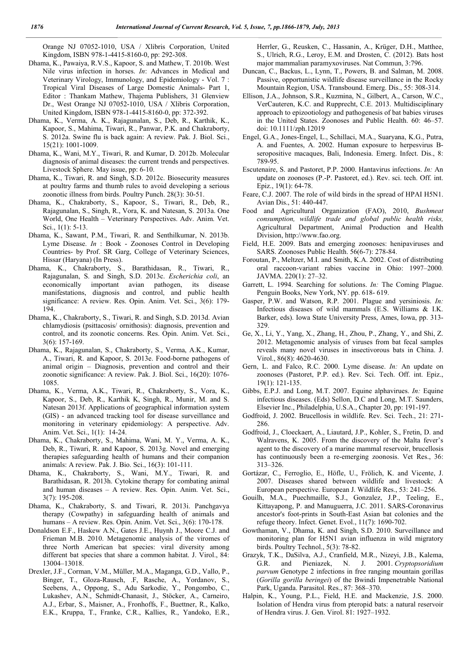Orange NJ 07052-1010, USA / Xlibris Corporation, United Kingdom, ISBN 978-1-4415-8160-0, pp: 292-308.

- Dhama, K., Pawaiya, R.V.S., Kapoor, S. and Mathew, T. 2010b. West Nile virus infection in horses. *In*: Advances in Medical and Veterinary Virology, Immunology, and Epidemiology - Vol. 7 : Tropical Viral Diseases of Large Domestic Animals- Part 1, Editor : Thankam Mathew, Thajema Publishers, 31 Glenview Dr., West Orange NJ 07052-1010, USA / Xlibris Corporation, United Kingdom, ISBN 978-1-4415-8160-0, pp: 372-392.
- Dhama, K., Verma, A. K., Rajagunalan, S., Deb, R., Karthik, K., Kapoor, S., Mahima, Tiwari, R., Panwar, P.K. and Chakraborty, S. 2012a. Swine flu is back again: A review. Pak. J. Biol. Sci., 15(21): 1001-1009.
- Dhama, K., Wani, M.Y., Tiwari, R. and Kumar, D. 2012b. Molecular diagnosis of animal diseases: the current trends and perspectives. Livestock Sphere. May issue, pp: 6-10.
- Dhama, K., Tiwari, R. and Singh, S.D. 2012c. Biosecurity measures at poultry farms and thumb rules to avoid developing a serious zoonotic illness from birds. Poultry Punch. 28(3): 30-51.
- Dhama, K., Chakraborty, S., Kapoor, S., Tiwari, R., Deb, R., Rajagunalan, S., Singh, R., Vora, K. and Natesan, S. 2013a. One World, One Health – Veterinary Perspectives. Adv. Anim. Vet. Sci., 1(1): 5-13.
- Dhama, K., Sawant, P.M., Tiwari, R. and Senthilkumar, N. 2013b. Lyme Disease. *In* : Book - Zoonoses Control in Developing Countries- by Prof. SR Garg, College of Veterinary Sciences, Hissar (Haryana) (In Press).
- Dhama, K., Chakraborty, S., Barathidasan, R., Tiwari, R., Rajagunalan, S. and Singh, S.D. 2013c. *Escherichia coli*, an economically important avian pathogen, its disease manifestations, diagnosis and control, and public health significance: A review. Res. Opin. Anim. Vet. Sci., 3(6): 179- 194.
- Dhama, K., Chakraborty, S., Tiwari, R. and Singh, S.D. 2013d. Avian chlamydiosis (psittacosis/ ornithosis): diagnosis, prevention and control, and its zoonotic concerns. Res. Opin. Anim. Vet. Sci., 3(6): 157-169.
- Dhama, K., Rajagunalan, S., Chakraborty, S., Verma, A.K., Kumar, A., Tiwari, R. and Kapoor, S. 2013e. Food-borne pathogens of animal origin – Diagnosis, prevention and control and their zoonotic significance: A review. Pak. J. Biol. Sci., 16(20): 1076- 1085.
- Dhama, K., Verma, A.K., Tiwari, R., Chakraborty, S., Vora, K., Kapoor, S., Deb, R., Karthik K, Singh, R., Munir, M. and S. Natesan 2013f. Applications of geographical information system (GIS) - an advanced tracking tool for disease surveillance and monitoring in veterinary epidemiology: A perspective. Adv. Anim. Vet. Sci., 1(1): 14-24.
- Dhama, K., Chakraborty, S., Mahima, Wani, M. Y., Verma, A. K., Deb, R., Tiwari, R. and Kapoor, S. 2013g. Novel and emerging therapies safeguarding health of humans and their companion animals: A review. Pak. J. Bio. Sci., 16(3): 101-111.
- Dhama, K., Chakraborty, S., Wani, M.Y., Tiwari, R. and Barathidasan, R. 2013h. Cytokine therapy for combating animal and human diseases – A review. Res. Opin. Anim. Vet. Sci., 3(7): 195-208.
- Dhama, K., Chakraborty, S. and Tiwari, R. 2013i. Panchgavya therapy (Cowpathy) in safeguarding health of animals and humans – A review. Res. Opin. Anim. Vet. Sci., 3(6): 170-178.
- Donaldson E.F., Haskew A.N., Gates J.E., Huynh J., Moore C.J. and Frieman M.B. 2010. Metagenomic analysis of the viromes of three North American bat species: viral diversity among different bat species that share a common habitat. J. Virol., 84: 13004–13018.
- Drexler, J.F., Corman, V.M., Müller, M.A., Maganga, G.D., Vallo, P., Binger, T., Gloza-Rausch, .F, Rasche, A., Yordanov, S., Seebens, A., Oppong, S., Adu Sarkodie, Y., Pongombo, C., Lukashev, A.N., Schmidt-Chanasit, J., Stöcker, A., Carneiro, A.J., Erbar, S., Maisner, A., Fronhoffs, F., Buettner, R., Kalko, E.K., Kruppa, T., Franke, C.R., Kallies, R., Yandoko, E.R.,

Herrler, G., Reusken, C., Hassanin, A., Krüger, D.H., Matthee, S., Ulrich, R.G., Leroy, E.M. and Drosten, C. (2012). Bats host major mammalian paramyxoviruses. Nat Commun, 3:796.

- Duncan, C., Backus, L., Lynn, T., Powers, B. and Salman, M. 2008. Passive, opportunistic wildlife disease surveillance in the Rocky Mountain Region, USA. Transbound. Emerg. Dis., 55: 308-314.
- Ellison, J.A., Johnson, S.R., Kuzmina, N., Gilbert, A., Carson, W.C., VerCauteren, K.C. and Rupprecht, C.E. 2013. Multidisciplinary approach to epizootiology and pathogenesis of bat babies viruses in the United States. Zoonoses and Public Health. 60: 46–57. doi: 10.1111/zph.12019
- Engel, G.A., Jones-Engel, L., Schillaci, M.A., Suaryana, K.G., Putra, A. and Fuentes, A. 2002. Human exposure to herpesvirus Bseropositive macaques, Bali, Indonesia. Emerg. Infect. Dis., 8: 789-95.
- Escutenaire, S. and Pastoret, P.P. 2000. Hantavirus infections. *In:* An update on zoonoses (P.-P. Pastoret, ed.). Rev. sci. tech. Off. int. Epiz., 19(1): 64-78.
- Feare, C.J. 2007. The role of wild birds in the spread of HPAI H5N1. Avian Dis., 51: 440-447.
- Food and Agricultural Organization (FAO), 2010, *Bushmeat consumption, wildlife trade and global public health risks,*  Agricultural Department, Animal Production and Health Division, http://www.fao.org.
- Field, H.E. 2009. Bats and emerging zoonoses: henipaviruses and SARS. Zoonoses Public Health. 56(6-7): 278-84.
- Foroutan, P., Meltzer, M.I. and Smith, K.A. 2002. Cost of distributing oral raccoon-variant rabies vaccine in Ohio: 1997–2000*.*  JAVMA. 220(1): 27–32.
- Garrett, L. 1994. Searching for solutions. *In:* The Coming Plague. Penguin Books, New York, NY. pp. 618- 619.
- Gasper, P.W. and Watson, R.P. 2001. Plague and yersiniosis. *In:*  Infectious diseases of wild mammals (E.S. Williams & I.K. Barker, eds). Iowa State University Press, Ames, Iowa, pp. 313- 329.
- Ge, X., Li, Y., Yang, X., Zhang, H., Zhou, P., Zhang, Y., and Shi, Z. 2012. Metagenomic analysis of viruses from bat fecal samples reveals many novel viruses in insectivorous bats in China. J. Virol., 86(8): 4620-4630.
- Gern, L. and Falco, R.C. 2000. Lyme disease. *In:* An update on zoonoses (Pastoret, P.P. ed.). Rev. Sci. Tech. Off. int. Epiz., 19(1): 121-135.
- Gibbs, E.P.J. and Long, M.T. 2007. Equine alphavirues. *In:* Equine infectious diseases. (Eds) Sellon, D.C and Long, M.T. Saunders, Elsevier Inc., Philadelphia, U.S.A., Chapter 20, pp: 191-197.
- Godfroid, J. 2002. Brucellosis in wildlife. Rev. Sci. Tech., 21: 271- 286.
- Godfroid, J., Cloeckaert, A., Liautard, J.P., Kohler, S., Fretin, D. and Walravens, K. 2005. From the discovery of the Malta fever's agent to the discovery of a marine mammal reservoir, brucellosis has continuously been a re-emerging zoonosis. Vet Res., 36: 313–326.
- Gortázar, C., Ferroglio, E., Höfle, U., Frölich, K. and Vicente, J. 2007. Diseases shared between wildlife and livestock: A European perspective. European J. Wildlife Res., 53: 241–256.
- Gouilh, M.A., Puechmaille, S.J., Gonzalez, J.P., Teeling, E., Kittayapong, P. and Manuguerra, J.C. 2011. SARS-Coronavirus ancestor's foot-prints in South-East Asian bat colonies and the refuge theory. Infect. Genet. Evol., 11(7): 1690-702.
- Gowthaman, V., Dhama, K. and Singh, S.D. 2010. Surveillance and monitoring plan for H5N1 avian influenza in wild migratory birds. Poultry Technol., 5(3): 78-82.
- Grazyk, T.K., DaSilva, A.J., Cranfield, M.R., Nizeyi, J.B., Kalema, G.R. and Pieniazek, N. J. 2001. Cryptopsoridium G.R. and Pieniazek, N. J. *parvum* Genotype 2 infections in free ranging mountain gorillas (*Gorilla gorilla beringei*) of the Bwindi Impenetrable National Park, Uganda. Parasitol. Res., 87: 368–370.
- Halpin, K., Young, P.L., Field, H.E. and Mackenzie, J.S. 2000. Isolation of Hendra virus from pteropid bats: a natural reservoir of Hendra virus. J. Gen. Virol. 81: 1927–1932.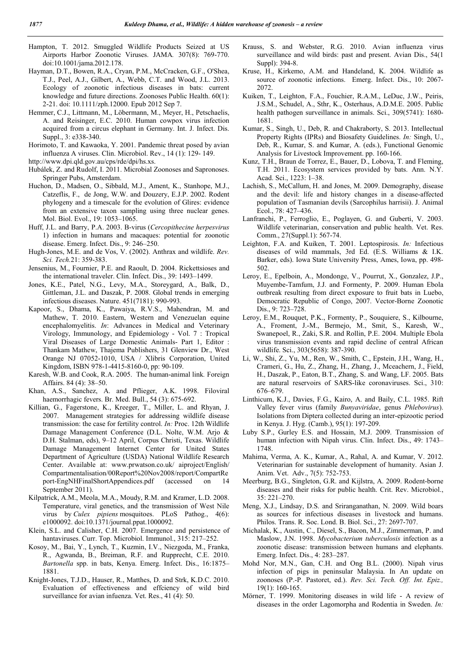- Hampton, T. 2012. Smuggled Wildlife Products Seized at US Airports Harbor Zoonotic Viruses. JAMA*.* 307(8): 769-770. doi:10.1001/jama.2012.178.
- Hayman, D.T., Bowen, R.A., Cryan, P.M., McCracken, G.F., O'Shea, T.J., Peel, A.J., Gilbert, A., Webb, C.T. and Wood, J.L. 2013. Ecology of zoonotic infectious diseases in bats: current knowledge and future directions. Zoonoses Public Health. 60(1): 2-21. doi: 10.1111/zph.12000. Epub 2012 Sep 7.
- Hemmer, C.J., Littmann, M., Löbermann, M., Meyer, H., Petschaelis, A. and Reisinger, E.C. 2010. Human cowpox virus infection acquired from a circus elephant in Germany. Int. J. Infect. Dis. Suppl., 3: e338-340.
- Horimoto, T. and Kawaoka, Y. 2001. Pandemic threat posed by avian influenza A viruses. Clin. Microbiol. Rev., 14 (1): 129- 149.
- http://www.dpi.qld.gov.au/cps/rde/dpi/hs.xs.
- Hubálek, Z. and Rudolf, I. 2011. Microbial Zoonoses and Sapronoses. Springer Pubs, Amsterdam.
- Huchon, D., Madsen, O., Sibbald, M.J., Ament, K., Stanhope, M.J., Catzeflis, F., de Jong, W.W. and Douzery, E.J.P. 2002. Rodent phylogeny and a timescale for the evolution of Glires: evidence from an extensive taxon sampling using three nuclear genes. Mol. Biol. Evol., 19: 1053–1065.
- Huff, J.L. and Barry, P.A. 2003. B-virus (*Cercopithecine herpesvirus*  1) infection in humans and macaques: potential for zoonotic disease. Emerg. Infect. Dis., 9: 246–250.
- Hugh-Jones, M.E. and de Vos, V. (2002). Anthrax and wildlife. *Rev. Sci. Tech.*21: 359-383.
- Jensenius, M., Fournier, P.E. and Raoult, D. 2004. Rickettsioses and the international traveler. Clin. Infect. Dis., 39: 1493–1499.
- Jones, K.E., Patel, N.G., Levy, M.A., Storeygard, A., Balk, D., Gittleman, J.L. and Daszak, P. 2008. Global trends in emerging infectious diseases. Nature. 451(7181): 990-993.
- Kapoor, S., Dhama, K., Pawaiya, R.V.S., Mahendran, M. and Mathew, T. 2010. Eastern, Western and Venezuelan equine encephalomyelitis. *In*: Advances in Medical and Veterinary Virology, Immunology, and Epidemiology - Vol. 7 : Tropical Viral Diseases of Large Domestic Animals- Part 1, Editor : Thankam Mathew, Thajema Publishers, 31 Glenview Dr., West Orange NJ 07052-1010, USA / Xlibris Corporation, United Kingdom, ISBN 978-1-4415-8160-0, pp: 90-109.
- Karesh, W.B. and Cook, R.A. 2005. The human-animal link*.* Foreign Affairs. 84 (4): 38–50.
- Khan, A.S., Sanchez, A. and Pflieger, A.K. 1998. Filoviral haemorrhagic fevers. Br. Med. Bull., 54 (3): 675-692.
- Killian, G., Fagerstone, K., Kreeger, T., Miller, L. and Rhyan, J. 2007. Management strategies for addressing wildlife disease transmission: the case for fertility control. *In:* Proc. 12th Wildlife Damage Management Conference (D.L. Nolte, W.M. Arjo & D.H. Stalman, eds), 9–12 April, Corpus Christi, Texas. Wildlife Damage Management Internet Center for United States Department of Agriculture (USDA) National Wildlife Research Center. Available at: www.prwatson.co.uk/ aiproject/English/ Compartmentalisation/00Report%20Nov2008/report/CompartRe port-EngNHFinalShortAppendices.pdf (accessed on 14 September 2011).
- Kilpatrick, A.M., Meola, M.A., Moudy, R.M. and Kramer, L.D. 2008. Temperature, viral genetics, and the transmission of West Nile virus by *Culex pipiens* mosquitoes. PLoS Pathog., 4(6): e1000092. doi:10.1371/journal.ppat.1000092.
- Klein, S.L. and Calisher, C.H. 2007. Emergence and persistence of hantaviruses. Curr. Top. Microbiol. Immunol., 315: 217–252.
- Kosoy, M., Bai, Y., Lynch, T., Kuzmin, I.V., Niezgoda, M., Franka, R., Agwanda, B., Breiman, R.F. and Rupprecht, C.E. 2010. *Bartonella* spp. in bats, Kenya. Emerg. Infect. Dis., 16:1875– 1881.
- Knight-Jones, T.J.D., Hauser, R., Matthes, D. and Strk, K.D.C. 2010. Evaluation of effectiveness and effciency of wild bird surveillance for avian infuenza. Vet. Res., 41 (4): 50.
- Krauss, S. and Webster, R.G. 2010. Avian influenza virus surveillance and wild birds: past and present. Avian Dis., 54(1 Suppl): 394-8.
- Kruse, H., Kirkemo, A.M. and Handeland, K. 2004. Wildlife as source of zoonotic infections. Emerg. Infect. Dis., 10: 2067-2072.
- Kuiken, T., Leighton, F.A., Fouchier, R.A.M., LeDuc, J.W., Peiris, J.S.M., Schudel, A., Sthr, K., Osterhaus, A.D.M.E. 2005. Public health pathogen surveillance in animals. Sci., 309(5741): 1680- 1681.
- Kumar, S., Singh, U., Deb, R. and Chakraborty, S. 2013. Intellectual Property Rights (IPRs) and Biosafety Guidelines. *In:* Singh, U., Deb, R., Kumar, S. and Kumar, A. (eds.), Functional Genomic Analysis for Livestock Improvement. pp. 160-166.
- Kunz, T.H., Braun de Torrez, E., Bauer, D., Lobova, T. and Fleming, T.H. 2011. Ecosystem services provided by bats. Ann. N.Y. Acad. Sci., 1223: 1–38.
- Lachish, S., McCallum, H. and Jones, M. 2009. Demography, disease and the devil: life and history changes in a disease-affected population of Tasmanian devils (Sarcophilus harrisii). J. Animal Ecol., 78: 427–436.
- Lanfranchi, P., Ferroglio, E., Poglayen, G. and Guberti, V. 2003. Wildlife veterinarian, conservation and public health. Vet. Res. Comm., 27(Suppl.1): 567-74.
- Leighton, F.A. and Kuiken, T. 2001. Leptospirosis. *In:* Infectious diseases of wild mammals, 3rd Ed. (E.S. Williams & I.K. Barker, eds). Iowa State University Press, Ames, Iowa, pp. 498- 502.
- Leroy, E., Epelboin, A., Mondonge, V., Pourrut, X., Gonzalez, J.P., Muyembe-Tamfum, J.J. and Formenty, P. 2009. Human Ebola outbreak resulting from direct exposure to fruit bats in Luebo, Democratic Republic of Congo, 2007. Vector-Borne Zoonotic Dis., 9: 723–728.
- Leroy, E.M., Rouquet, P.K., Formenty, P., Souquiere, S., Kilbourne, A., Froment, J.-M., Bermejo, M., Smit, S., Karesh, W., Swanepoel, R., Zaki, S.R. and Rollin, P.E. 2004. Multiple Ebola virus transmission events and rapid decline of central African wildlife. Sci., 303(5658): 387-390.
- Li, W., Shi, Z., Yu, M., Ren, W., Smith, C., Epstein, J.H., Wang, H., Crameri, G., Hu, Z., Zhang, H., Zhang, J., Mceachern, J., Field, H., Daszak, P., Eaton, B.T., Zhang, S. and Wang, LF. 2005. Bats are natural reservoirs of SARS-like coronaviruses. Sci., 310: 676–679.
- Linthicum, K.J., Davies, F.G., Kairo, A. and Baily, C.L. 1985. Rift Valley fever virus (family *Bunyaviridae*, genus *Phlebovirus*). Isolations from Diptera collected during an inter-epizootic period in Kenya. J. Hyg. (Camb.), 95(1): 197-209.
- Luby S.P., Gurley E.S. and Hossain, M.J. 2009. Transmission of human infection with Nipah virus. Clin. Infect. Dis., 49: 1743– 1748.
- Mahima, Verma, A. K., Kumar, A., Rahal, A. and Kumar, V. 2012. Veterinarian for sustainable development of humanity. Asian J. Anim. Vet. Adv., 7(5): 752-753.
- Meerburg, B.G., Singleton, G.R. and Kijlstra, A. 2009. Rodent-borne diseases and their risks for public health. Crit. Rev. Microbiol., 35: 221–270.
- Meng, X.J., Lindsay, D.S. and Sriranganathan, N. 2009. Wild boars as sources for infectious diseases in livestock and humans. Philos. Trans. R. Soc. Lond. B. Biol. Sci., 27: 2697-707.
- Michalak, K., Austin, C., Diesel, S., Bacon, M.J., Zimmerman, P. and Maslow, J.N. 1998. *Mycobacterium tuberculosis* infection as a zoonotic disease: transmission between humans and elephants. Emerg. Infect. Dis., 4: 283–287.
- Mohd Nor, M.N., Gan, C.H. and Ong B.L. (2000). Nipah virus infection of pigs in peninsular Malaysia. In An update on zoonoses (P.-P. Pastoret, ed.). *Rev. Sci. Tech. Off. Int. Epiz.,* 19(1): 160-165.
- Mörner, T. 1999. Monitoring diseases in wild life A review of diseases in the order Lagomorpha and Rodentia in Sweden. *In:*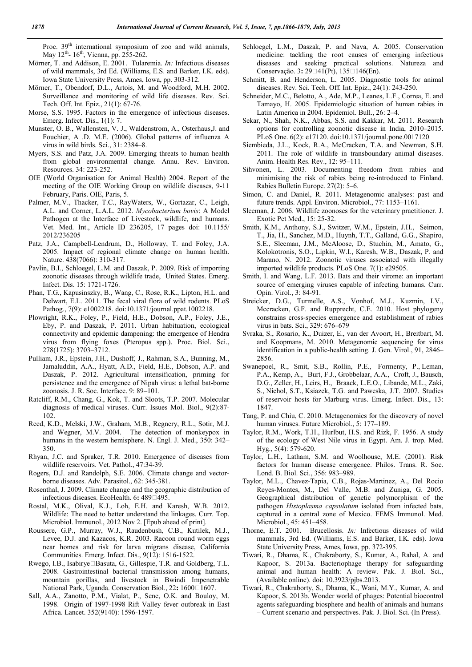Proc. 39<sup>th</sup> international symposium of zoo and wild animals, May 12<sup>th</sup>- 16<sup>th</sup>, Vienna, pp. 255-262.

- Mörner, T. and Addison, E. 2001. Tularemia. *In:* Infectious diseases of wild mammals, 3rd Ed. (Williams, E.S. and Barker, I.K. eds). Iowa State University Press, Ames, Iowa, pp. 303-312.
- Mörner, T., Obendorf, D.L., Artois, M. and Woodford, M.H. 2002. Surveillance and monitoring of wild life diseases. Rev. Sci. Tech. Off. Int. Epiz., 21(1): 67-76.
- Morse, S.S. 1995. Factors in the emergence of infectious diseases. Emerg. Infect. Dis., 1(1): 7.
- Munster, O. B., Wallensten, V. J., Waldenstrom, A., Osterhaus,J. and Fouchier, A .D. M.E. (2006). Global patterns of influenza A virus in wild birds*.* Sci., 31: 2384–8.
- Myers, S.S. and Patz, J.A. 2009. Emerging threats to human health from global environmental change. Annu. Rev. Environ. Resources. 34: 223-252.
- OIE (World Organisation for Animal Health) 2004. Report of the meeting of the OIE Working Group on wildlife diseases, 9-11 February, Paris. OIE, Paris, 5.
- Palmer, M.V., Thacker, T.C., RayWaters, W., Gortazar, C., Leigh, A.L. and Corner, L.A.L. 2012. *Mycobacterium bovis*: A Model Pathogen at the Interface of Livestock, wildlife, and humans. Vet. Med. Int., Article ID 236205, 17 pages doi: 10.1155/ 2012/236205
- Patz, J.A., Campbell-Lendrum, D., Holloway, T. and Foley, J.A. 2005. Impact of regional climate change on human health. Nature. 438(7066): 310-317.
- Pavlin, B.I., Schloegel, L.M. and Daszak, P. 2009. Risk of importing zoonotic diseases through wildlife trade, United States. Emerg. Infect. Dis. 15: 1721-1726.
- Phan, T.G., Kapusinszky, B., Wang, C., Rose, R.K., Lipton, H.L. and Delwart, E.L. 2011. The fecal viral flora of wild rodents. PLoS Pathog., 7(9): e1002218. doi:10.1371/journal.ppat.1002218.
- Plowright, R.K., Foley, P., Field, H.E., Dobson, A.P., Foley, J.E., Eby, P. and Daszak, P. 2011. Urban habituation, ecological connectivity and epidemic dampening: the emergence of Hendra virus from flying foxes (Pteropus spp.). Proc. Biol. Sci., 278(1725): 3703–3712.
- Pulliam, J.R., Epstein, J.H., Dushoff, J., Rahman, S.A., Bunning, M., Jamaluddin, A.A., Hyatt, A.D., Field, H.E., Dobson, A.P. and Daszak, P. 2012. Agricultural intensification, priming for persistence and the emergence of Nipah virus: a lethal bat-borne zoonosis. J. R. Soc. Interface. 9: 89–101.
- Ratcliff, R.M., Chang, G., Kok, T. and Sloots, T.P. 2007. Molecular diagnosis of medical viruses. Curr. Issues Mol. Biol., 9(2):87- 102.
- Reed, K.D., Melski, J.W., Graham, M.B., Regnery, R.L., Sotir, M.J. and Wegner, M.V. 2004. The detection of monkeypox in humans in the western hemisphere. N. Engl. J. Med., 350: 342– 350.
- Rhyan, J.C. and Spraker, T.R. 2010. Emergence of diseases from wildlife reservoirs. Vet. Pathol., 47:34-39.
- Rogers, D.J. and Randolph, S.E. 2006. Climate change and vectorborne diseases. Adv. Parasitol., 62: 345-381.
- Rosenthal, J. 2009. Climate change and the geographic distribution of infectious diseases. EcoHealth. 6: 489 $\Box$ 495.
- Rostal, M.K., Olival, K.J., Loh, E.H. and Karesh, W.B. 2012. Wildlife: The need to better understand the linkages. Curr. Top. Microbiol. Immunol., 2012 Nov 2. [Epub ahead of print].
- Roussere, G.P., Murray, W.J., Raudenbush, C.B., Kutilek, M.J., Levee, D.J. and Kazacos, K.R. 2003. Racoon round worm eggs near homes and risk for larva migrans disease, California Communities. Emerg. Infect. Dis., 9(12): 1516-1522.
- Rwego, I.B., Isabirye□Basuta, G., Gillespie, T.R. and Goldberg, T.L. 2008. Gastrointestinal bacterial transmission among humans, mountain gorillas, and livestock in Bwindi Impenetrable National Park, Uganda. Conservation Biol., 22: 1600 $\square$ 1607.
- Sall, A.A., Zanotto, P.M., Vialat, P., Sene, O.K. and Bouloy, M. 1998. Origin of 1997-1998 Rift Valley fever outbreak in East Africa. Lancet. 352(9140): 1596-1597.
- Schloegel, L.M., Daszak, P. and Nava, A. 2005. Conservation medicine: tackling the root causes of emerging infectious diseases and seeking practical solutions. Natureza and Conservação. 3:  $29 \square 41$ (Pt),  $135 \square 146$ (En).
- Schmitt, B. and Henderson, L. 2005. Diagnostic tools for animal diseases. Rev. Sci. Tech. Off. Int. Epiz., 24(1): 243-250.
- Schneider, M.C., Belotto, A., Ade, M.P., Leanes, L.F., Correa, E. and Tamayo, H. 2005. Epidemiologic situation of human rabies in Latin America in 2004. Epidemiol. Bull., 26: 2–4.
- Sekar, N., Shah, N.K., Abbas, S.S. and Kakkar, M. 2011. Research options for controlling zoonotic disease in India, 2010–2015. PLoS One. 6(2): e17120. doi:10.1371/journal.pone.0017120
- Siembieda, J.L., Kock, R.A., McCracken, T.A. and Newman, S.H. 2011. The role of wildlife in transboundary animal diseases. Anim. Health Res. Rev., 12: 95–111.
- Sihvonen, L. 2003. Documenting freedom from rabies and minimising the risk of rabies being re-introduced to Finland. Rabies Bulletin Europe. 27(2): 5–6.
- Simon, C. and Daniel, R. 2011. Metagenomic analyses: past and future trends. Appl. Environ. Microbiol., 77: 1153–1161.
- Sleeman, J. 2006. Wildlife zoonoses for the veterinary practitioner. J. Exotic Pet Med., 15: 25-32.
- Smith, K.M., Anthony, S.J., Switzer, W.M., Epstein, J.H., Seimon, T., Jia, H., Sanchez, M.D., Huynh, T.T., Galland, G.G., Shapiro, S.E., Sleeman, J.M., McAloose, D., Stuchin, M., Amato, G., Kolokotronis, S.O., Lipkin, W.I., Karesh, W.B., Daszak, P. and Marano, N. 2012. Zoonotic viruses associated with illegally imported wildlife products. PLoS One. 7(1): e29505.
- Smith, I. and Wang, L.F. 2013. Bats and their virome: an important source of emerging viruses capable of infecting humans. Curr. Opin. Virol., 3: 84-91.
- Streicker, D.G., Turmelle, A.S., Vonhof, M.J., Kuzmin, I.V., Mccracken, G.F. and Rupprecht, C.E. 2010. Host phylogeny constrains cross-species emergence and establishment of rabies virus in bats. Sci., 329: 676–679
- Svraka, S., Rosario, K., Duizer, E., van der Avoort, H., Breitbart, M. and Koopmans, M. 2010. Metagenomic sequencing for virus identification in a public-health setting. J. Gen. Virol., 91, 2846– 2856.
- Swanepoel, R., Smit, S.B., Rollin, P.E., Formenty, P., Leman, P.A., Kemp, A., Burt, F.J., Grobbelaar, A.A., Croft, J., Bausch, D.G., Zeller, H., Leirs, H., Braack, L.E.O., Libande, M.L., Zaki, S., Nichol, S.T., Ksiazek, T.G. and Paweska, J.T. 2007. Studies of reservoir hosts for Marburg virus. Emerg. Infect. Dis., 13: 1847.
- Tang, P. and Chiu, C. 2010. Metagenomics for the discovery of novel human viruses. Future Microbiol., 5: 177–189.
- Taylor, R.M., Work, T.H., Hurlbut, H.S. and Rizk, F. 1956. A study of the ecology of West Nile virus in Egypt. Am. J. trop. Med. Hyg., 5(4): 579-620.
- Taylor, L.H., Latham, S.M. and Woolhouse, M.E. (2001). Risk factors for human disease emergence. Philos. Trans. R. Soc. Lond. B. Biol. Sci., 356: 983–989.
- Taylor, M.L., Chavez-Tapia, C.B., Rojas-Martinez, A., Del Rocio Reyes-Montes, M., Del Valle, M.B. and Zuniga, G. 2005. Geographical distribution of genetic polymorphism of the pathogen *Histoplasma capsulatum* isolated from infected bats, captured in a central zone of Mexico. FEMS Immunol. Med. Microbiol., 45: 451–458.
- Thorne, E.T. 2001. Brucellosis. *In:* Infectious diseases of wild mammals, 3rd Ed. (Williams, E.S. and Barker, I.K. eds). Iowa State University Press, Ames, Iowa, pp. 372-395.
- Tiwari, R., Dhama, K., Chakraborty, S., Kumar, A., Rahal, A. and Kapoor, S. 2013a. Bacteriophage therapy for safeguarding animal and human health: A review. Pak. J. Biol. Sci., (Available online). doi: 10.3923/pjbs.2013.
- Tiwari, R., Chakraborty, S., Dhama, K., Wani, M.Y., Kumar, A. and Kapoor, S. 2013b. Wonder world of phages: Potential biocontrol agents safeguarding biosphere and health of animals and humans – Current scenario and perspectives. Pak. J. Biol. Sci. (In Press).